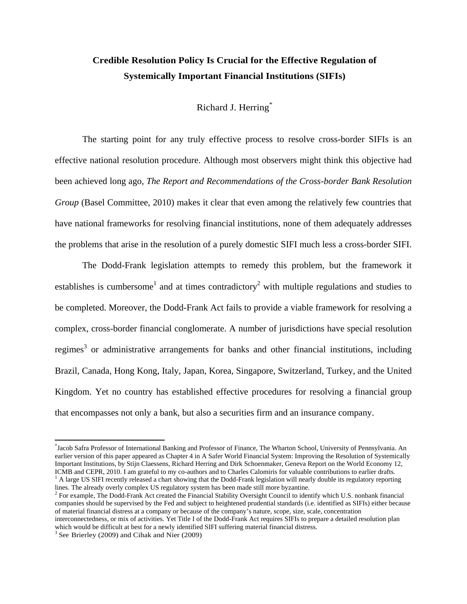# **Credible Resolution Policy Is Crucial for the Effective Regulation of Systemically Important Financial Institutions (SIFIs)**

Richard J. Herring\*

The starting point for any truly effective process to resolve cross-border SIFIs is an effective national resolution procedure. Although most observers might think this objective had been achieved long ago, *The Report and Recommendations of the Cross-border Bank Resolution Group* (Basel Committee, 2010) makes it clear that even among the relatively few countries that have national frameworks for resolving financial institutions, none of them adequately addresses the problems that arise in the resolution of a purely domestic SIFI much less a cross-border SIFI.

 The Dodd-Frank legislation attempts to remedy this problem, but the framework it establishes is cumbersome<sup>1</sup> and at times contradictory<sup>2</sup> with multiple regulations and studies to be completed. Moreover, the Dodd-Frank Act fails to provide a viable framework for resolving a complex, cross-border financial conglomerate. A number of jurisdictions have special resolution regimes<sup>3</sup> or administrative arrangements for banks and other financial institutions, including Brazil, Canada, Hong Kong, Italy, Japan, Korea, Singapore, Switzerland, Turkey, and the United Kingdom. Yet no country has established effective procedures for resolving a financial group that encompasses not only a bank, but also a securities firm and an insurance company.

<sup>\*</sup> Jacob Safra Professor of International Banking and Professor of Finance, The Wharton School, University of Pennsylvania. An earlier version of this paper appeared as Chapter 4 in A Safer World Financial System: Improving the Resolution of Systemically Important Institutions, by Stijn Claessens, Richard Herring and Dirk Schoenmaker, Geneva Report on the World Economy 12, ICMB and CEPR, 2010. I am grateful to my co-authors and to Charles Calomiris for valuable contributions to earlier drafts. 1  $^{\circ}$  A large US SIFI recently released a chart showing that the Dodd-Frank legislation will nearly double its regulatory reporting

lines. The already overly complex US regulatory system has been made still more byzantine. 2

For example, The Dodd-Frank Act created the Financial Stability Oversight Council to identify which U.S. nonbank financial companies should be supervised by the Fed and subject to heightened prudential standards (i.e. identified as SIFIs) either because of material financial distress at a company or because of the company's nature, scope, size, scale, concentration interconnectedness, or mix of activities. Yet Title I of the Dodd-Frank Act requires SIFIs to prepare a detailed resolution plan which would be difficult at best for a newly identified SIFI suffering material financial distress.

 $3$  See Brierley (2009) and Cihak and Nier (2009)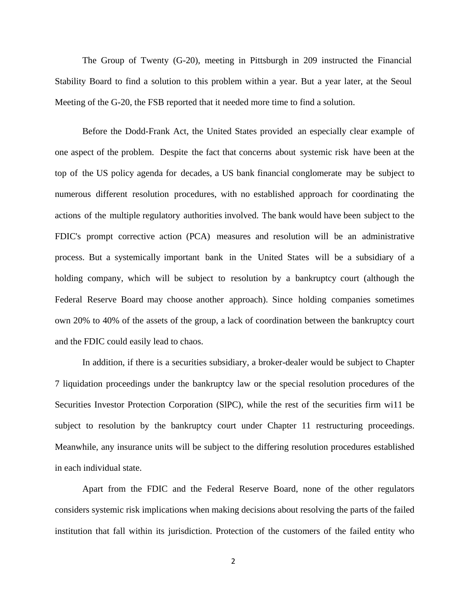The Group of Twenty (G-20), meeting in Pittsburgh in 209 instructed the Financial Stability Board to find a solution to this problem within a year. But a year later, at the Seoul Meeting of the G-20, the FSB reported that it needed more time to find a solution.

Before the Dodd-Frank Act, the United States provided an especially clear example of one aspect of the problem. Despite the fact that concerns about systemic risk have been at the top of the US policy agenda for decades, a US bank financial conglomerate may be subject to numerous different resolution procedures, with no established approach for coordinating the actions of the multiple regulatory authorities involved. The bank would have been subject to the FDIC's prompt corrective action (PCA) measures and resolution will be an administrative process. But a systemically important bank in the United States will be a subsidiary of a holding company, which will be subject to resolution by a bankruptcy court (although the Federal Reserve Board may choose another approach). Since holding companies sometimes own 20% to 40% of the assets of the group, a lack of coordination between the bankruptcy court and the FDIC could easily lead to chaos.

 In addition, if there is a securities subsidiary, a broker-dealer would be subject to Chapter 7 liquidation proceedings under the bankruptcy law or the special resolution procedures of the Securities Investor Protection Corporation (SlPC), while the rest of the securities firm wi11 be subject to resolution by the bankruptcy court under Chapter 11 restructuring proceedings. Meanwhile, any insurance units will be subject to the differing resolution procedures established in each individual state.

 Apart from the FDIC and the Federal Reserve Board, none of the other regulators considers systemic risk implications when making decisions about resolving the parts of the failed institution that fall within its jurisdiction. Protection of the customers of the failed entity who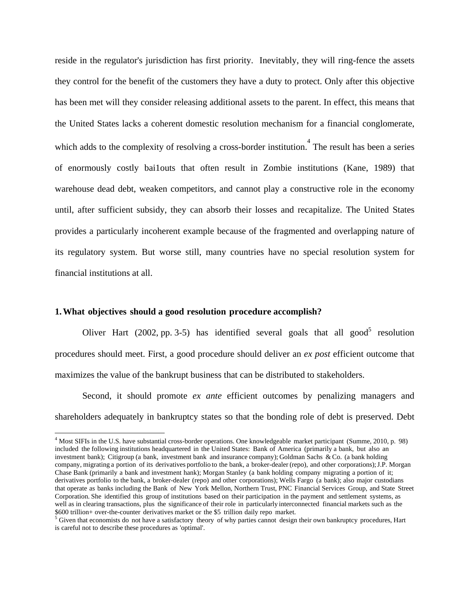reside in the regulator's jurisdiction has first priority. Inevitably, they will ring-fence the assets they control for the benefit of the customers they have a duty to protect. Only after this objective has been met will they consider releasing additional assets to the parent. In effect, this means that the United States lacks a coherent domestic resolution mechanism for a financial conglomerate, which adds to the complexity of resolving a cross-border institution.<sup>4</sup> The result has been a series of enormously costly bai1outs that often result in Zombie institutions (Kane, 1989) that warehouse dead debt, weaken competitors, and cannot play a constructive role in the economy until, after sufficient subsidy, they can absorb their losses and recapitalize. The United States provides a particularly incoherent example because of the fragmented and overlapping nature of its regulatory system. But worse still, many countries have no special resolution system for financial institutions at all.

### **1. What objectives should a good resolution procedure accomplish?**

Oliver Hart (2002, pp. 3-5) has identified several goals that all good<sup>5</sup> resolution procedures should meet. First, a good procedure should deliver an *ex post* efficient outcome that maximizes the value of the bankrupt business that can be distributed to stakeholders.

 Second, it should promote *ex ante* efficient outcomes by penalizing managers and shareholders adequately in bankruptcy states so that the bonding role of debt is preserved. Debt

 4 Most SIFIs in the U.S. have substantial cross-border operations. One knowledgeable market participant (Summe, 2010, p. 98) included the following institutions headquartered in the United States: Bank of America (primarily a bank, but also an investment bank); Citigroup (a bank, investment bank and insurance company); Goldman Sachs & Co. (a bank holding company, migrating a portion of its derivatives portfolio to the bank, a broker-dealer (repo), and other corporations); J.P. Morgan Chase Bank (primarily a bank and investment hank); Morgan Stanley (a bank holding company migrating a portion of it; derivatives portfolio to the bank, a broker-dealer (repo) and other corporations); Wells Fargo (a bank); also major custodians that operate as banks including the Bank of New York Mellon, Northern Trust, PNC Financial Services Group, and State Street Corporation. She identified this group of institutions based on their participation in the payment and settlement systems, as well as in clearing transactions, plus the significance of their role in particularly interconnected financial markets such as the \$600 trillion+ over-the-counter derivatives market or the \$5 trillion daily repo market.

 $<sup>5</sup>$  Given that economists do not have a satisfactory theory of why parties cannot design their own bankruptcy procedures, Hart</sup> is careful not to describe these procedures as 'optimal'.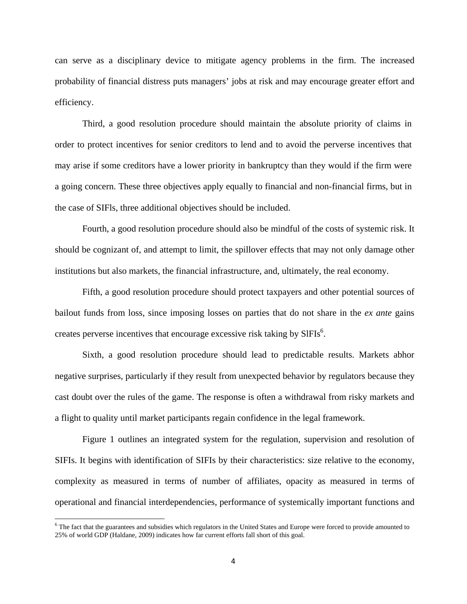can serve as a disciplinary device to mitigate agency problems in the firm. The increased probability of financial distress puts managers' jobs at risk and may encourage greater effort and efficiency.

Third, a good resolution procedure should maintain the absolute priority of claims in order to protect incentives for senior creditors to lend and to avoid the perverse incentives that may arise if some creditors have a lower priority in bankruptcy than they would if the firm were a going concern. These three objectives apply equally to financial and non-financial firms, but in the case of SIFls, three additional objectives should be included.

 Fourth, a good resolution procedure should also be mindful of the costs of systemic risk. It should be cognizant of, and attempt to limit, the spillover effects that may not only damage other institutions but also markets, the financial infrastructure, and, ultimately, the real economy.

 Fifth, a good resolution procedure should protect taxpayers and other potential sources of bailout funds from loss, since imposing losses on parties that do not share in the *ex ante* gains creates perverse incentives that encourage excessive risk taking by  $SIFIs^6$ .

 Sixth, a good resolution procedure should lead to predictable results. Markets abhor negative surprises, particularly if they result from unexpected behavior by regulators because they cast doubt over the rules of the game. The response is often a withdrawal from risky markets and a flight to quality until market participants regain confidence in the legal framework.

Figure 1 outlines an integrated system for the regulation, supervision and resolution of SIFIs. It begins with identification of SIFIs by their characteristics: size relative to the economy, complexity as measured in terms of number of affiliates, opacity as measured in terms of operational and financial interdependencies, performance of systemically important functions and

<sup>&</sup>lt;sup>6</sup> The fact that the guarantees and subsidies which regulators in the United States and Europe were forced to provide amounted to 25% of world GDP (Haldane, 2009) indicates how far current efforts fall short of this goal.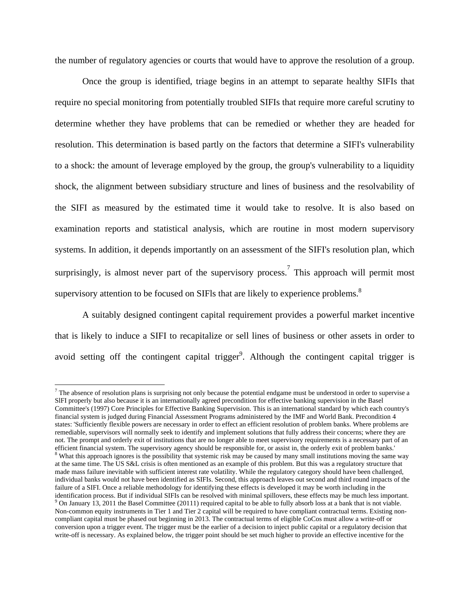the number of regulatory agencies or courts that would have to approve the resolution of a group.

 Once the group is identified, triage begins in an attempt to separate healthy SIFIs that require no special monitoring from potentially troubled SIFIs that require more careful scrutiny to determine whether they have problems that can be remedied or whether they are headed for resolution. This determination is based partly on the factors that determine a SIFI's vulnerability to a shock: the amount of leverage employed by the group, the group's vulnerability to a liquidity shock, the alignment between subsidiary structure and lines of business and the resolvability of the SIFI as measured by the estimated time it would take to resolve. It is also based on examination reports and statistical analysis, which are routine in most modern supervisory systems. In addition, it depends importantly on an assessment of the SIFI's resolution plan, which surprisingly, is almost never part of the supervisory process.<sup>7</sup> This approach will permit most supervisory attention to be focused on SIFIs that are likely to experience problems.<sup>8</sup>

 A suitably designed contingent capital requirement provides a powerful market incentive that is likely to induce a SIFI to recapitalize or sell lines of business or other assets in order to avoid setting off the contingent capital trigger<sup>9</sup>. Although the contingent capital trigger is

 $<sup>7</sup>$  The absence of resolution plans is surprising not only because the potential endgame must be understood in order to supervise a</sup> SlFI properly but also because it is an internationally agreed precondition for effective banking supervision in the Basel Committee's (1997) Core Principles for Effective Banking Supervision. This is an international standard by which each country's financial system is judged during Financial Assessment Programs administered by the IMF and World Bank. Precondition 4 states: 'Sufficiently flexible powers are necessary in order to effect an efficient resolution of problem banks. Where problems are remediable, supervisors will normally seek to identify and implement solutions that fully address their concerns; where they are not. The prompt and orderly exit of institutions that are no longer able to meet supervisory requirements is a necessary part of an efficient financial system. The supervisory agency should be responsible for, or assist in, the orderly exit of problem banks.' <sup>8</sup> What this approach ignores is the possibility that systemic risk may be caused by many small institutions moving the same way at the same time. The US S&L crisis is often mentioned as an example of this problem. But this was a regulatory structure that made mass failure inevitable with sufficient interest rate volatility. While the regulatory category should have been challenged, individual banks would not have been identified as SIFIs. Second, this approach leaves out second and third round impacts of the failure of a SIFI. Once a reliable methodology for identifying these effects is developed it may be worth including in the identification process. But if individual SIFIs can be resolved with minimal spillovers, these effects may be much less important. 9  $9$  On January 13, 2011 the Basel Committee (20111) required capital to be able to fully absorb loss at a bank that is not viable. Non-common equity instruments in Tier 1 and Tier 2 capital will be required to have compliant contractual terms. Existing noncompliant capital must be phased out beginning in 2013. The contractual terms of eligible CoCos must allow a write-off or conversion upon a trigger event. The trigger must be the earlier of a decision to inject public capital or a regulatory decision that write-off is necessary. As explained below, the trigger point should be set much higher to provide an effective incentive for the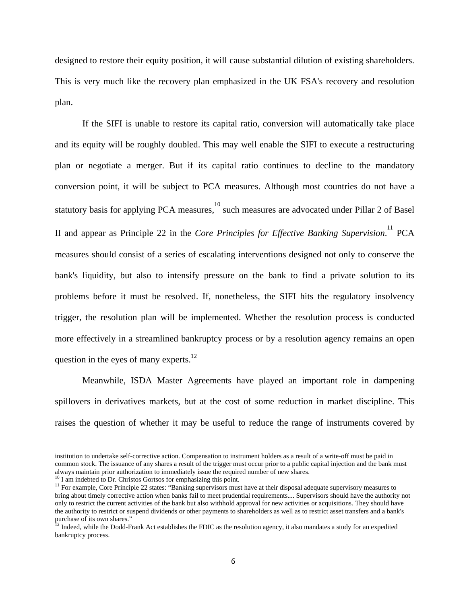designed to restore their equity position, it will cause substantial dilution of existing shareholders. This is very much like the recovery plan emphasized in the UK FSA's recovery and resolution plan.

 If the SIFI is unable to restore its capital ratio, conversion will automatically take place and its equity will be roughly doubled. This may well enable the SIFI to execute a restructuring plan or negotiate a merger. But if its capital ratio continues to decline to the mandatory conversion point, it will be subject to PCA measures. Although most countries do not have a statutory basis for applying PCA measures, such measures are advocated under Pillar 2 of Basel II and appear as Principle 22 in the *Core Principles for Effective Banking Supervision*. 11 PCA measures should consist of a series of escalating interventions designed not only to conserve the bank's liquidity, but also to intensify pressure on the bank to find a private solution to its problems before it must be resolved. If, nonetheless, the SIFI hits the regulatory insolvency trigger, the resolution plan will be implemented. Whether the resolution process is conducted more effectively in a streamlined bankruptcy process or by a resolution agency remains an open question in the eyes of many experts. $^{12}$ 

 Meanwhile, ISDA Master Agreements have played an important role in dampening spillovers in derivatives markets, but at the cost of some reduction in market discipline. This raises the question of whether it may be useful to reduce the range of instruments covered by

<u> 1989 - Johann Stein, marwolaethau a gweledydd a ganlad y ganlad y ganlad y ganlad y ganlad y ganlad y ganlad</u>

institution to undertake self-corrective action. Compensation to instrument holders as a result of a write-off must be paid in common stock. The issuance of any shares a result of the trigger must occur prior to a public capital injection and the bank must always maintain prior authorization to immediately issue the required number of new shares.<br><sup>10</sup> I am indebted to Dr. Christos Gortsos for emphasizing this point.<br><sup>11</sup> For example, Core Principle 22 states: "Banking superv

bring about timely corrective action when banks fail to meet prudential requirements.... Supervisors should have the authority not only to restrict the current activities of the bank but also withhold approval for new activities or acquisitions. They should have the authority to restrict or suspend dividends or other payments to shareholders as well as to restrict asset transfers and a bank's purchase of its own shares."

 $12$  Indeed, while the Dodd-Frank Act establishes the FDIC as the resolution agency, it also mandates a study for an expedited bankruptcy process.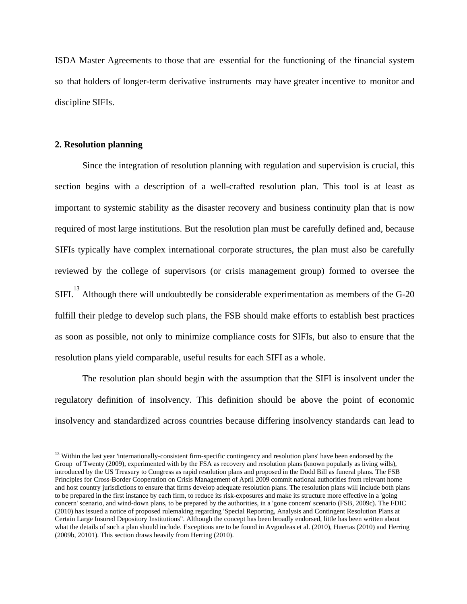ISDA Master Agreements to those that are essential for the functioning of the financial system so that holders of longer-term derivative instruments may have greater incentive to monitor and discipline SIFIs.

# **2. Resolution planning**

Since the integration of resolution planning with regulation and supervision is crucial, this section begins with a description of a well-crafted resolution plan. This tool is at least as important to systemic stability as the disaster recovery and business continuity plan that is now required of most large institutions. But the resolution plan must be carefully defined and, because SIFIs typically have complex international corporate structures, the plan must also be carefully reviewed by the college of supervisors (or crisis management group) formed to oversee the SIFI.<sup>13</sup> Although there will undoubtedly be considerable experimentation as members of the G-20 fulfill their pledge to develop such plans, the FSB should make efforts to establish best practices as soon as possible, not only to minimize compliance costs for SIFIs, but also to ensure that the resolution plans yield comparable, useful results for each SIFI as a whole.

 The resolution plan should begin with the assumption that the SIFI is insolvent under the regulatory definition of insolvency. This definition should be above the point of economic insolvency and standardized across countries because differing insolvency standards can lead to

 $13$  Within the last year 'internationally-consistent firm-specific contingency and resolution plans' have been endorsed by the Group of Twenty (2009), experimented with by the FSA as recovery and resolution plans (known popularly as living wills), introduced by the US Treasury to Congress as rapid resolution plans and proposed in the Dodd Bill as funeral plans. The FSB Principles for Cross-Border Cooperation on Crisis Management of April 2009 commit national authorities from relevant home and host country jurisdictions to ensure that firms develop adequate resolution plans. The resolution plans will include both plans to be prepared in the first instance by each firm, to reduce its risk-exposures and make its structure more effective in a 'going concern' scenario, and wind-down plans, to be prepared by the authorities, in a 'gone concern' scenario (FSB, 2009c). The FDIC (2010) has issued a notice of proposed rulemaking regarding 'Special Reporting, Analysis and Contingent Resolution Plans at Certain Large Insured Depository Institutions". Although the concept has been broadly endorsed, little has been written about what the details of such a plan should include. Exceptions are to be found in Avgouleas et al. (2010), Huertas (2010) and Herring (2009b, 20101). This section draws heavily from Herring (2010).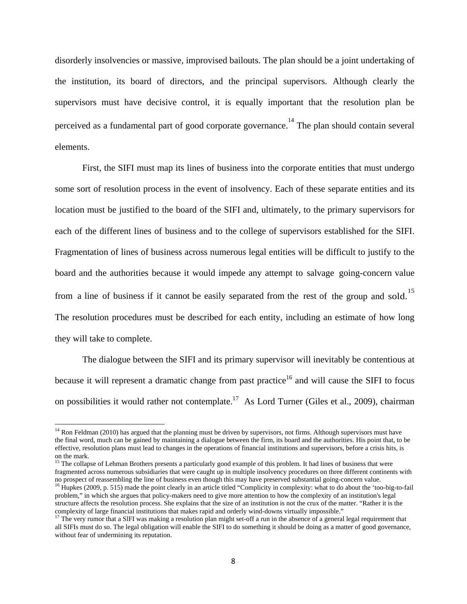disorderly insolvencies or massive, improvised bailouts. The plan should be a joint undertaking of the institution, its board of directors, and the principal supervisors. Although clearly the supervisors must have decisive control, it is equally important that the resolution plan be perceived as a fundamental part of good corporate governance.<sup>14</sup> The plan should contain several elements.

 First, the SIFI must map its lines of business into the corporate entities that must undergo some sort of resolution process in the event of insolvency. Each of these separate entities and its location must be justified to the board of the SIFI and, ultimately, to the primary supervisors for each of the different lines of business and to the college of supervisors established for the SIFI. Fragmentation of lines of business across numerous legal entities will be difficult to justify to the board and the authorities because it would impede any attempt to salvage going-concern value from a line of business if it cannot be easily separated from the rest of the group and sold.<sup>15</sup> The resolution procedures must be described for each entity, including an estimate of how long they will take to complete.

 The dialogue between the SIFI and its primary supervisor will inevitably be contentious at because it will represent a dramatic change from past practice<sup>16</sup> and will cause the SIFI to focus on possibilities it would rather not contemplate.<sup>17</sup> As Lord Turner (Giles et al., 2009), chairman

<sup>15</sup> The collapse of Lehman Brothers presents a particularly good example of this problem. It had lines of business that were fragmented across numerous subsidiaries that were caught up in multiple insolvency procedures on three different continents with no prospect of reassembling the line of business even though this may have preserved substantial going-concern value.<br><sup>16</sup> Hupkes (2009, p. 515) made the point clearly in an article titled "Complicity in complexity: what t

 $14$  Ron Feldman (2010) has argued that the planning must be driven by supervisors, not firms. Although supervisors must have the final word, much can be gained by maintaining a dialogue between the firm, its board and the authorities. His point that, to be effective, resolution plans must lead to changes in the operations of financial institutions and supervisors, before a crisis hits, is on the mark.

problem," in which she argues that policy-makers need to give more attention to how the complexity of an institution's legal structure affects the resolution process. She explains that the size of an institution is not the crux of the matter. "Rather it is the complexity of large financial institutions that makes rapid and orderly wind-downs virtually impossible."<br><sup>17</sup> The very rumor that a SIFI was making a resolution plan might set-off a run in the absence of a general legal r

all SIFIs must do so. The legal obligation will enable the SIFI to do something it should be doing as a matter of good governance, without fear of undermining its reputation.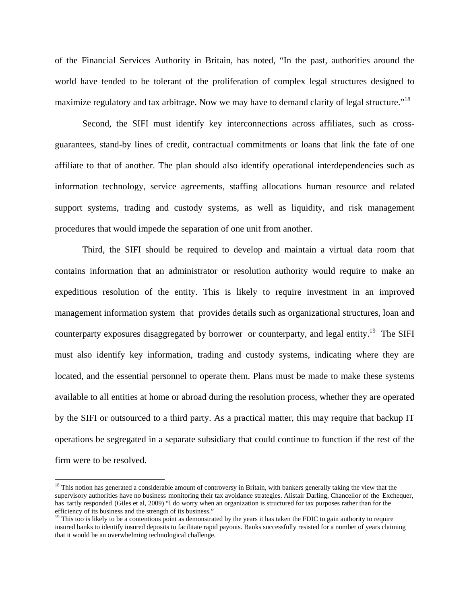of the Financial Services Authority in Britain, has noted, "In the past, authorities around the world have tended to be tolerant of the proliferation of complex legal structures designed to maximize regulatory and tax arbitrage. Now we may have to demand clarity of legal structure."<sup>18</sup>

 Second, the SIFI must identify key interconnections across affiliates, such as crossguarantees, stand-by lines of credit, contractual commitments or loans that link the fate of one affiliate to that of another. The plan should also identify operational interdependencies such as information technology, service agreements, staffing allocations human resource and related support systems, trading and custody systems, as well as liquidity, and risk management procedures that would impede the separation of one unit from another.

 Third, the SIFI should be required to develop and maintain a virtual data room that contains information that an administrator or resolution authority would require to make an expeditious resolution of the entity. This is likely to require investment in an improved management information system that provides details such as organizational structures, loan and counterparty exposures disaggregated by borrower or counterparty, and legal entity.<sup>19</sup> The SIFI must also identify key information, trading and custody systems, indicating where they are located, and the essential personnel to operate them. Plans must be made to make these systems available to all entities at home or abroad during the resolution process, whether they are operated by the SIFI or outsourced to a third party. As a practical matter, this may require that backup IT operations be segregated in a separate subsidiary that could continue to function if the rest of the firm were to be resolved.

 $18$  This notion has generated a considerable amount of controversy in Britain, with bankers generally taking the view that the supervisory authorities have no business monitoring their tax avoidance strategies. Alistair Darling, Chancellor of the Exchequer, has tartly responded (Giles et al, 2009) "I do worry when an organization is structured for tax purposes rather than for the efficiency of its business and the strength of its business."<br><sup>19</sup> This too is likely to be a contentious point as demonstrated by the years it has taken the FDIC to gain authority to require

insured banks to identify insured deposits to facilitate rapid payouts. Banks successfully resisted for a number of years claiming that it would be an overwhelming technological challenge.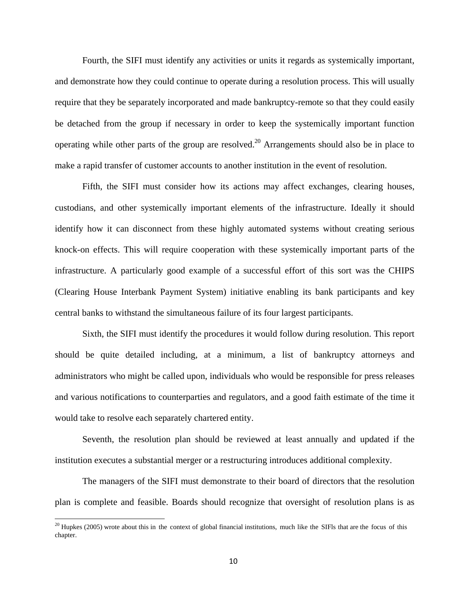Fourth, the SIFI must identify any activities or units it regards as systemically important, and demonstrate how they could continue to operate during a resolution process. This will usually require that they be separately incorporated and made bankruptcy-remote so that they could easily be detached from the group if necessary in order to keep the systemically important function operating while other parts of the group are resolved.<sup>20</sup> Arrangements should also be in place to make a rapid transfer of customer accounts to another institution in the event of resolution.

 Fifth, the SIFI must consider how its actions may affect exchanges, clearing houses, custodians, and other systemically important elements of the infrastructure. Ideally it should identify how it can disconnect from these highly automated systems without creating serious knock-on effects. This will require cooperation with these systemically important parts of the infrastructure. A particularly good example of a successful effort of this sort was the CHIPS (Clearing House Interbank Payment System) initiative enabling its bank participants and key central banks to withstand the simultaneous failure of its four largest participants.

 Sixth, the SIFI must identify the procedures it would follow during resolution. This report should be quite detailed including, at a minimum, a list of bankruptcy attorneys and administrators who might be called upon, individuals who would be responsible for press releases and various notifications to counterparties and regulators, and a good faith estimate of the time it would take to resolve each separately chartered entity.

 Seventh, the resolution plan should be reviewed at least annually and updated if the institution executes a substantial merger or a restructuring introduces additional complexity.

 The managers of the SIFI must demonstrate to their board of directors that the resolution plan is complete and feasible. Boards should recognize that oversight of resolution plans is as

<sup>&</sup>lt;sup>20</sup> Hupkes (2005) wrote about this in the context of global financial institutions, much like the SIFls that are the focus of this chapter.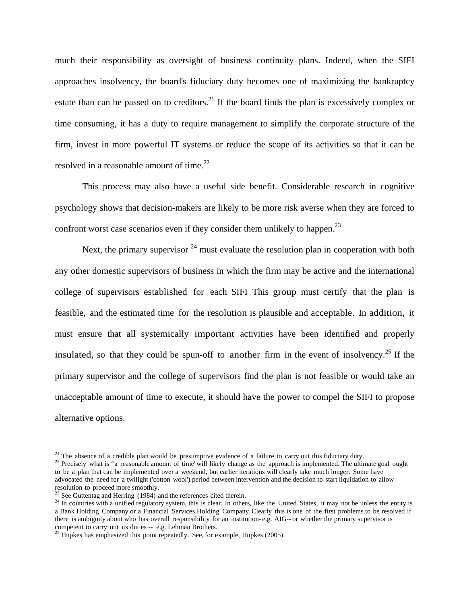much their responsibility as oversight of business continuity plans. Indeed, when the SIFI approaches insolvency, the board's fiduciary duty becomes one of maximizing the bankruptcy estate than can be passed on to creditors.<sup>21</sup> If the board finds the plan is excessively complex or time consuming, it has a duty to require management to simplify the corporate structure of the firm, invest in more powerful IT systems or reduce the scope of its activities so that it can be resolved in a reasonable amount of time. $^{22}$ 

This process may also have a useful side benefit. Considerable research in cognitive psychology shows that decision-makers are likely to be more risk averse when they are forced to confront worst case scenarios even if they consider them unlikely to happen.<sup>23</sup>

Next, the primary supervisor  $^{24}$  must evaluate the resolution plan in cooperation with both any other domestic supervisors of business in which the firm may be active and the international college of supervisors established for each SIFI This group must certify that the plan is feasible, and the estimated time for the resolution is plausible and acceptable. In addition, it must ensure that all systemically important activities have been identified and properly insulated, so that they could be spun-off to another firm in the event of insolvency.<sup>25</sup> If the primary supervisor and the college of supervisors find the plan is not feasible or would take an unacceptable amount of time to execute, it should have the power to compel the SIFI to propose alternative options.

 $21$  The absence of a credible plan would be presumptive evidence of a failure to carry out this fiduciary duty.

<sup>&</sup>lt;sup>22</sup> Precisely what is "a reasonable amount of time' will likely change as the approach is implemented. The ultimate goal ought to be a plan that can be implemented over a weekend, but earlier iterations will clearly take much longer. Some have advocated the need for a twilight ('cotton wool') period between intervention and the decision to start liquidation to allow resolution to proceed more smoothly.<br><sup>23</sup> See Guttentag and Herring (1984) and the references cited therein.

<sup>&</sup>lt;sup>24</sup> In countries with a unified regulatory system, this is clear. In others, like the United States, it may not be unless the entity is a Bank Holding Company or a Financial Services Holding Company. Clearly this is one of the first problems to be resolved if there is ambiguity about who has overall responsibility for an institution- e.g. AIG-- or whether the primary supervisor is competent to carry out its duties -- e.g. Lehman Brothers.

 $^{25}$  Hupkes has emphasized this point repeatedly. See, for example, Hupkes (2005).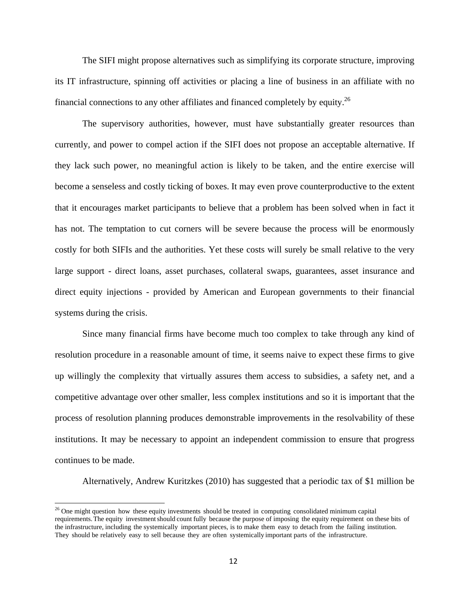The SIFI might propose alternatives such as simplifying its corporate structure, improving its IT infrastructure, spinning off activities or placing a line of business in an affiliate with no financial connections to any other affiliates and financed completely by equity.<sup>26</sup>

 The supervisory authorities, however, must have substantially greater resources than currently, and power to compel action if the SIFI does not propose an acceptable alternative. If they lack such power, no meaningful action is likely to be taken, and the entire exercise will become a senseless and costly ticking of boxes. It may even prove counterproductive to the extent that it encourages market participants to believe that a problem has been solved when in fact it has not. The temptation to cut corners will be severe because the process will be enormously costly for both SIFIs and the authorities. Yet these costs will surely be small relative to the very large support - direct loans, asset purchases, collateral swaps, guarantees, asset insurance and direct equity injections - provided by American and European governments to their financial systems during the crisis.

 Since many financial firms have become much too complex to take through any kind of resolution procedure in a reasonable amount of time, it seems naive to expect these firms to give up willingly the complexity that virtually assures them access to subsidies, a safety net, and a competitive advantage over other smaller, less complex institutions and so it is important that the process of resolution planning produces demonstrable improvements in the resolvability of these institutions. It may be necessary to appoint an independent commission to ensure that progress continues to be made.

Alternatively, Andrew Kuritzkes (2010) has suggested that a periodic tax of \$1 million be

<sup>&</sup>lt;sup>26</sup> One might question how these equity investments should be treated in computing consolidated minimum capital requirements. The equity investment should count fully because the purpose of imposing the equity requirement on these bits of the infrastructure, including the systemically important pieces, is to make them easy to detach from the failing institution. They should be relatively easy to sell because they are often systemically important parts of the infrastructure.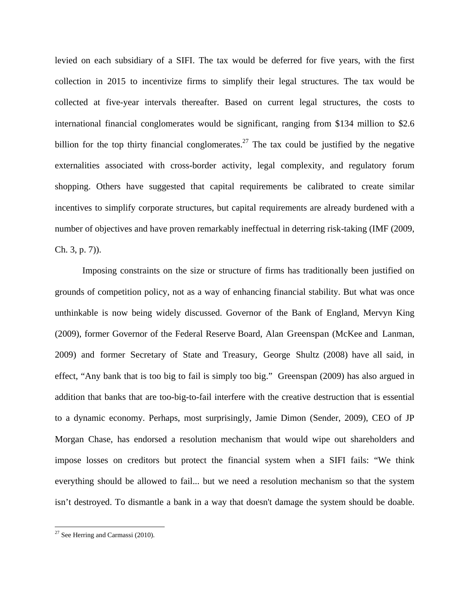levied on each subsidiary of a SIFI. The tax would be deferred for five years, with the first collection in 2015 to incentivize firms to simplify their legal structures. The tax would be collected at five-year intervals thereafter. Based on current legal structures, the costs to international financial conglomerates would be significant, ranging from \$134 million to \$2.6 billion for the top thirty financial conglomerates.<sup>27</sup> The tax could be justified by the negative externalities associated with cross-border activity, legal complexity, and regulatory forum shopping. Others have suggested that capital requirements be calibrated to create similar incentives to simplify corporate structures, but capital requirements are already burdened with a number of objectives and have proven remarkably ineffectual in deterring risk-taking (IMF (2009, Ch. 3, p. 7)).

 Imposing constraints on the size or structure of firms has traditionally been justified on grounds of competition policy, not as a way of enhancing financial stability. But what was once unthinkable is now being widely discussed. Governor of the Bank of England, Mervyn King (2009), former Governor of the Federal Reserve Board, Alan Greenspan (McKee and Lanman, 2009) and former Secretary of State and Treasury, George Shultz (2008) have all said, in effect, "Any bank that is too big to fail is simply too big." Greenspan (2009) has also argued in addition that banks that are too-big-to-fail interfere with the creative destruction that is essential to a dynamic economy. Perhaps, most surprisingly, Jamie Dimon (Sender, 2009), CEO of JP Morgan Chase, has endorsed a resolution mechanism that would wipe out shareholders and impose losses on creditors but protect the financial system when a SIFI fails: "We think everything should be allowed to fail... but we need a resolution mechanism so that the system isn't destroyed. To dismantle a bank in a way that doesn't damage the system should be doable.

 $27$  See Herring and Carmassi (2010).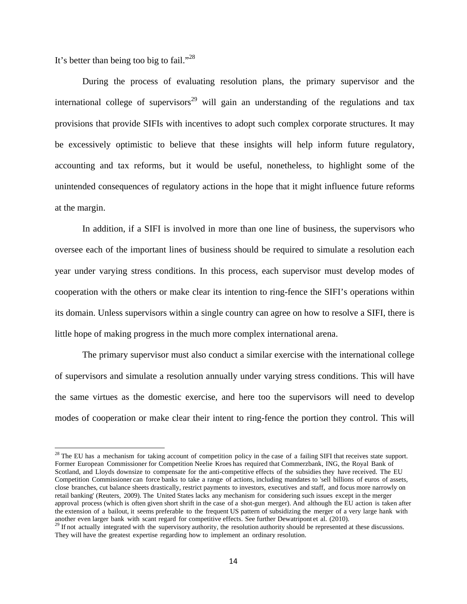It's better than being too big to fail."<sup>28</sup>

During the process of evaluating resolution plans, the primary supervisor and the international college of supervisors<sup>29</sup> will gain an understanding of the regulations and tax provisions that provide SIFIs with incentives to adopt such complex corporate structures. It may be excessively optimistic to believe that these insights will help inform future regulatory, accounting and tax reforms, but it would be useful, nonetheless, to highlight some of the unintended consequences of regulatory actions in the hope that it might influence future reforms at the margin.

 In addition, if a SIFI is involved in more than one line of business, the supervisors who oversee each of the important lines of business should be required to simulate a resolution each year under varying stress conditions. In this process, each supervisor must develop modes of cooperation with the others or make clear its intention to ring-fence the SIFI's operations within its domain. Unless supervisors within a single country can agree on how to resolve a SIFI, there is little hope of making progress in the much more complex international arena.

 The primary supervisor must also conduct a similar exercise with the international college of supervisors and simulate a resolution annually under varying stress conditions. This will have the same virtues as the domestic exercise, and here too the supervisors will need to develop modes of cooperation or make clear their intent to ring-fence the portion they control. This will

<sup>&</sup>lt;sup>28</sup> The EU has a mechanism for taking account of competition policy in the case of a failing SIFI that receives state support. Former European Commissioner for Competition Neelie Kroes has required that Commerzbank, ING, the Royal Bank of Scotland, and Lloyds downsize to compensate for the anti-competitive effects of the subsidies they have received. The EU Competition Commissioner can force banks to take a range of actions, including mandates to 'sell billions of euros of assets, close branches, cut balance sheets drastically, restrict payments to investors, executives and staff, and focus more narrowly on retail banking' (Reuters, 2009). The United States lacks any mechanism for considering such issues except in the merger approval process (which is often given short shrift in the case of a shot-gun merger). And although the EU action is taken after the extension of a bailout, it seems preferable to the frequent US pattern of subsidizing the merger of a very large hank with another even larger bank with scant regard for competitive effects. See further Dewatripont et al. (2010).<br><sup>29</sup> If not actually integrated with the supervisory authority, the resolution authority should be represented at

They will have the greatest expertise regarding how to implement an ordinary resolution.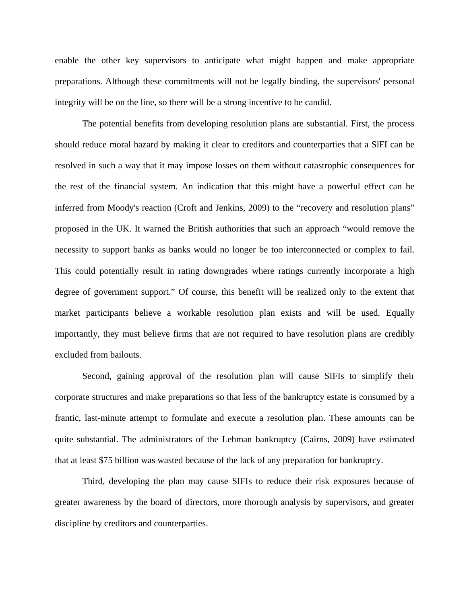enable the other key supervisors to anticipate what might happen and make appropriate preparations. Although these commitments will not be legally binding, the supervisors' personal integrity will be on the line, so there will be a strong incentive to be candid.

 The potential benefits from developing resolution plans are substantial. First, the process should reduce moral hazard by making it clear to creditors and counterparties that a SlFI can be resolved in such a way that it may impose losses on them without catastrophic consequences for the rest of the financial system. An indication that this might have a powerful effect can be inferred from Moody's reaction (Croft and Jenkins, 2009) to the "recovery and resolution plans" proposed in the UK. It warned the British authorities that such an approach "would remove the necessity to support banks as banks would no longer be too interconnected or complex to fail. This could potentially result in rating downgrades where ratings currently incorporate a high degree of government support." Of course, this benefit will be realized only to the extent that market participants believe a workable resolution plan exists and will be used. Equally importantly, they must believe firms that are not required to have resolution plans are credibly excluded from bailouts.

 Second, gaining approval of the resolution plan will cause SIFIs to simplify their corporate structures and make preparations so that less of the bankruptcy estate is consumed by a frantic, last-minute attempt to formulate and execute a resolution plan. These amounts can be quite substantial. The administrators of the Lehman bankruptcy (Cairns, 2009) have estimated that at least \$75 billion was wasted because of the lack of any preparation for bankruptcy.

 Third, developing the plan may cause SIFIs to reduce their risk exposures because of greater awareness by the board of directors, more thorough analysis by supervisors, and greater discipline by creditors and counterparties.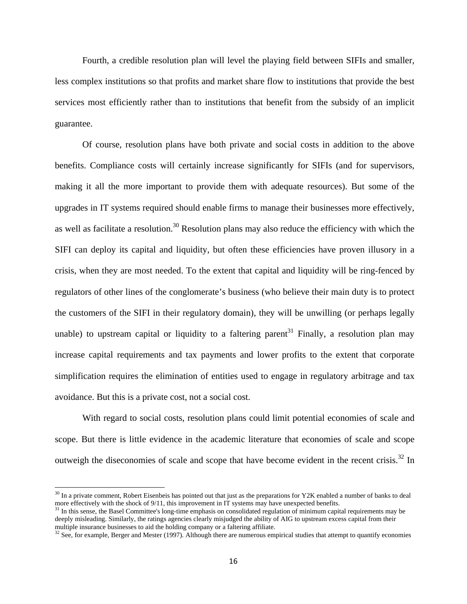Fourth, a credible resolution plan will level the playing field between SIFIs and smaller, less complex institutions so that profits and market share flow to institutions that provide the best services most efficiently rather than to institutions that benefit from the subsidy of an implicit guarantee.

 Of course, resolution plans have both private and social costs in addition to the above benefits. Compliance costs will certainly increase significantly for SIFIs (and for supervisors, making it all the more important to provide them with adequate resources). But some of the upgrades in IT systems required should enable firms to manage their businesses more effectively, as well as facilitate a resolution.<sup>30</sup> Resolution plans may also reduce the efficiency with which the SIFI can deploy its capital and liquidity, but often these efficiencies have proven illusory in a crisis, when they are most needed. To the extent that capital and liquidity will be ring-fenced by regulators of other lines of the conglomerate's business (who believe their main duty is to protect the customers of the SIFI in their regulatory domain), they will be unwilling (or perhaps legally unable) to upstream capital or liquidity to a faltering parent<sup>31</sup> Finally, a resolution plan may increase capital requirements and tax payments and lower profits to the extent that corporate simplification requires the elimination of entities used to engage in regulatory arbitrage and tax avoidance. But this is a private cost, not a social cost.

 With regard to social costs, resolution plans could limit potential economies of scale and scope. But there is little evidence in the academic literature that economies of scale and scope outweigh the diseconomies of scale and scope that have become evident in the recent crisis.<sup>32</sup> In

<sup>&</sup>lt;sup>30</sup> In a private comment, Robert Eisenbeis has pointed out that just as the preparations for Y2K enabled a number of banks to deal more effectively with the shock of  $9/11$ , this improvement in IT systems may have unexpected benefits.<br><sup>31</sup> In this sense, the Basel Committee's long-time emphasis on consolidated regulation of minimum capital requiremen

deeply misleading. Similarly, the ratings agencies clearly misjudged the ability of AIG to upstream excess capital from their multiple insurance businesses to aid the holding company or a faltering affiliate.

 $32$  See, for example, Berger and Mester (1997). Although there are numerous empirical studies that attempt to quantify economies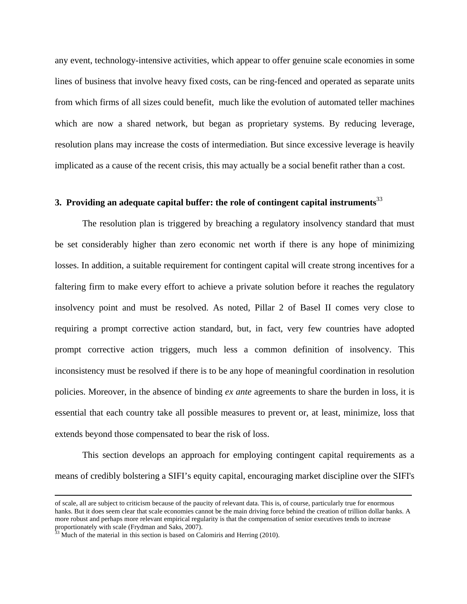any event, technology-intensive activities, which appear to offer genuine scale economies in some lines of business that involve heavy fixed costs, can be ring-fenced and operated as separate units from which firms of all sizes could benefit, much like the evolution of automated teller machines which are now a shared network, but began as proprietary systems. By reducing leverage, resolution plans may increase the costs of intermediation. But since excessive leverage is heavily implicated as a cause of the recent crisis, this may actually be a social benefit rather than a cost.

# **3. Providing an adequate capital buffer: the role of contingent capital instruments**<sup>33</sup>

The resolution plan is triggered by breaching a regulatory insolvency standard that must be set considerably higher than zero economic net worth if there is any hope of minimizing losses. In addition, a suitable requirement for contingent capital will create strong incentives for a faltering firm to make every effort to achieve a private solution before it reaches the regulatory insolvency point and must be resolved. As noted, Pillar 2 of Basel II comes very close to requiring a prompt corrective action standard, but, in fact, very few countries have adopted prompt corrective action triggers, much less a common definition of insolvency. This inconsistency must be resolved if there is to be any hope of meaningful coordination in resolution policies. Moreover, in the absence of binding *ex ante* agreements to share the burden in loss, it is essential that each country take all possible measures to prevent or, at least, minimize, loss that extends beyond those compensated to bear the risk of loss.

 This section develops an approach for employing contingent capital requirements as a means of credibly bolstering a SIFI's equity capital, encouraging market discipline over the SIFI's

<u> 1989 - Johann Stein, marwolaethau a gweledydd a ganlad y ganlad y ganlad y ganlad y ganlad y ganlad y ganlad</u>

of scale, all are subject to criticism because of the paucity of relevant data. This is, of course, particularly true for enormous hanks. But it does seem clear that scale economies cannot be the main driving force behind the creation of trillion dollar banks. A more robust and perhaps more relevant empirical regularity is that the compensation of senior executives tends to increase proportionately with scale (Frydman and Saks, 2007).

 $33$  Much of the material in this section is based on Calomiris and Herring (2010).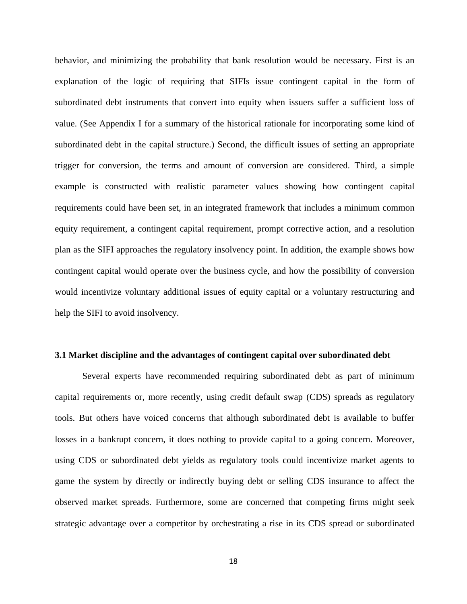behavior, and minimizing the probability that bank resolution would be necessary. First is an explanation of the logic of requiring that SIFIs issue contingent capital in the form of subordinated debt instruments that convert into equity when issuers suffer a sufficient loss of value. (See Appendix I for a summary of the historical rationale for incorporating some kind of subordinated debt in the capital structure.) Second, the difficult issues of setting an appropriate trigger for conversion, the terms and amount of conversion are considered. Third, a simple example is constructed with realistic parameter values showing how contingent capital requirements could have been set, in an integrated framework that includes a minimum common equity requirement, a contingent capital requirement, prompt corrective action, and a resolution plan as the SIFI approaches the regulatory insolvency point. In addition, the example shows how contingent capital would operate over the business cycle, and how the possibility of conversion would incentivize voluntary additional issues of equity capital or a voluntary restructuring and help the SIFI to avoid insolvency.

## **3.1 Market discipline and the advantages of contingent capital over subordinated debt**

Several experts have recommended requiring subordinated debt as part of minimum capital requirements or, more recently, using credit default swap (CDS) spreads as regulatory tools. But others have voiced concerns that although subordinated debt is available to buffer losses in a bankrupt concern, it does nothing to provide capital to a going concern. Moreover, using CDS or subordinated debt yields as regulatory tools could incentivize market agents to game the system by directly or indirectly buying debt or selling CDS insurance to affect the observed market spreads. Furthermore, some are concerned that competing firms might seek strategic advantage over a competitor by orchestrating a rise in its CDS spread or subordinated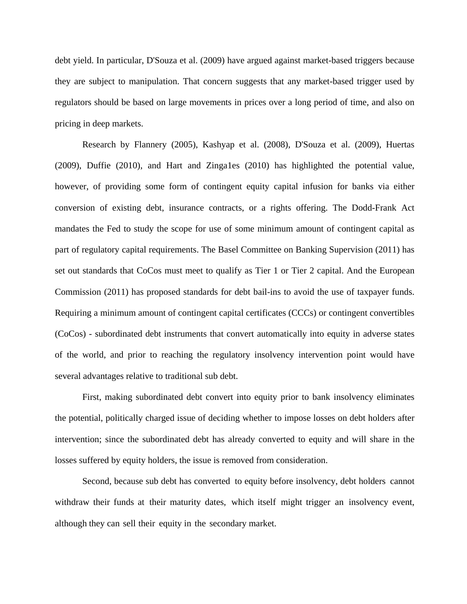debt yield. In particular, D'Souza et al. (2009) have argued against market-based triggers because they are subject to manipulation. That concern suggests that any market-based trigger used by regulators should be based on large movements in prices over a long period of time, and also on pricing in deep markets.

Research by Flannery (2005), Kashyap et al. (2008), D'Souza et al. (2009), Huertas (2009), Duffie (2010), and Hart and Zinga1es (2010) has highlighted the potential value, however, of providing some form of contingent equity capital infusion for banks via either conversion of existing debt, insurance contracts, or a rights offering. The Dodd-Frank Act mandates the Fed to study the scope for use of some minimum amount of contingent capital as part of regulatory capital requirements. The Basel Committee on Banking Supervision (2011) has set out standards that CoCos must meet to qualify as Tier 1 or Tier 2 capital. And the European Commission (2011) has proposed standards for debt bail-ins to avoid the use of taxpayer funds. Requiring a minimum amount of contingent capital certificates (CCCs) or contingent convertibles (CoCos) - subordinated debt instruments that convert automatically into equity in adverse states of the world, and prior to reaching the regulatory insolvency intervention point would have several advantages relative to traditional sub debt.

 First, making subordinated debt convert into equity prior to bank insolvency eliminates the potential, politically charged issue of deciding whether to impose losses on debt holders after intervention; since the subordinated debt has already converted to equity and will share in the losses suffered by equity holders, the issue is removed from consideration.

Second, because sub debt has converted to equity before insolvency, debt holders cannot withdraw their funds at their maturity dates, which itself might trigger an insolvency event, although they can sell their equity in the secondary market.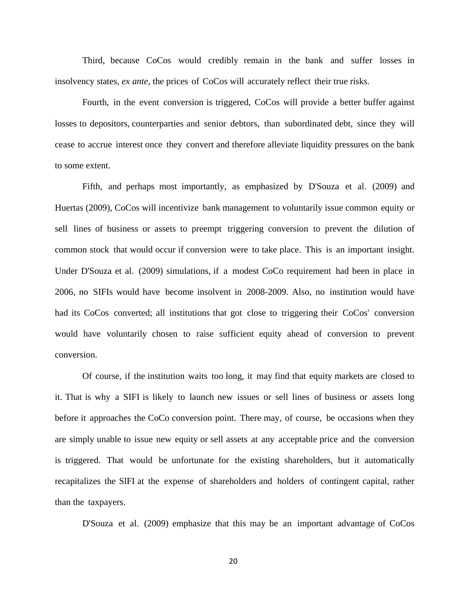Third, because CoCos would credibly remain in the bank and suffer losses in insolvency states, *ex ante,* the prices of CoCos will accurately reflect their true risks.

 Fourth, in the event conversion is triggered, CoCos will provide a better buffer against losses to depositors, counterparties and senior debtors, than subordinated debt, since they will cease to accrue interest once they convert and therefore alleviate liquidity pressures on the bank to some extent.

 Fifth, and perhaps most importantly, as emphasized by D'Souza et al. (2009) and Huertas (2009), CoCos will incentivize bank management to voluntarily issue common equity or sell lines of business or assets to preempt triggering conversion to prevent the dilution of common stock that would occur if conversion were to take place. This is an important insight. Under D'Souza et al. (2009) simulations, if a modest CoCo requirement had been in place in 2006*,* no SIFIs would have become insolvent in 2008-2009. Also, no institution would have had its CoCos converted; all institutions that got close to triggering their CoCos' conversion would have voluntarily chosen to raise sufficient equity ahead of conversion to prevent conversion.

 Of course, if the institution waits too long, it may find that equity markets are closed to it. That is why a SIFI is likely to launch new issues or sell lines of business or assets long before it approaches the CoCo conversion point. There may, of course, be occasions when they are simply unable to issue new equity or sell assets at any acceptable price and the conversion is triggered. That would be unfortunate for the existing shareholders, but it automatically recapitalizes the SlFI at the expense of shareholders and holders of contingent capital, rather than the taxpayers.

D'Souza et al. (2009) emphasize that this may be an important advantage of CoCos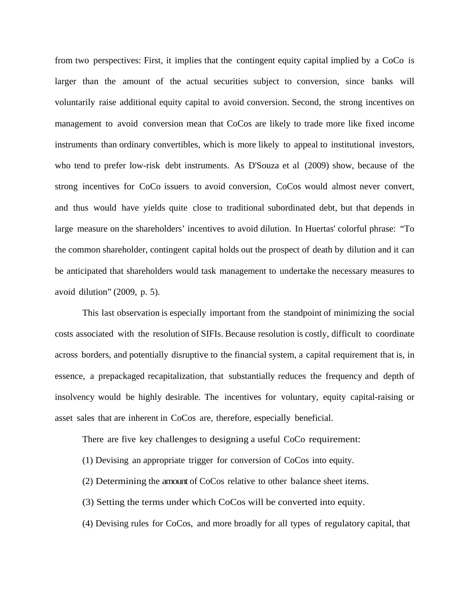from two perspectives: First, it implies that the contingent equity capital implied by a CoCo is larger than the amount of the actual securities subject to conversion, since banks will voluntarily raise additional equity capital to avoid conversion. Second, the strong incentives on management to avoid conversion mean that CoCos are likely to trade more like fixed income instruments than ordinary convertibles, which is more likely to appeal to institutional investors, who tend to prefer low-risk debt instruments. As D'Souza et al (2009) show, because of the strong incentives for CoCo issuers to avoid conversion, CoCos would almost never convert, and thus would have yields quite close to traditional subordinated debt, but that depends in large measure on the shareholders' incentives to avoid dilution. In Huertas' colorful phrase: "To the common shareholder, contingent capital holds out the prospect of death by dilution and it can be anticipated that shareholders would task management to undertake the necessary measures to avoid dilution" (2009, p. 5).

 This last observation is especially important from the standpoint of minimizing the social costs associated with the resolution of SIFIs. Because resolution is costly, difficult to coordinate across borders, and potentially disruptive to the financial system, a capital requirement that is, in essence, a prepackaged recapitalization, that substantially reduces the frequency and depth of insolvency would be highly desirable. The incentives for voluntary, equity capital-raising or asset sales that are inherent in CoCos are, therefore, especially beneficial.

There are five key challenges to designing a useful CoCo requirement:

(1) Devising an appropriate trigger for conversion of CoCos into equity.

(2) Determining the amount of CoCos relative to other balance sheet items.

(3) Setting the terms under which CoCos will be converted into equity.

(4) Devising rules for CoCos, and more broadly for all types of regulatory capital, that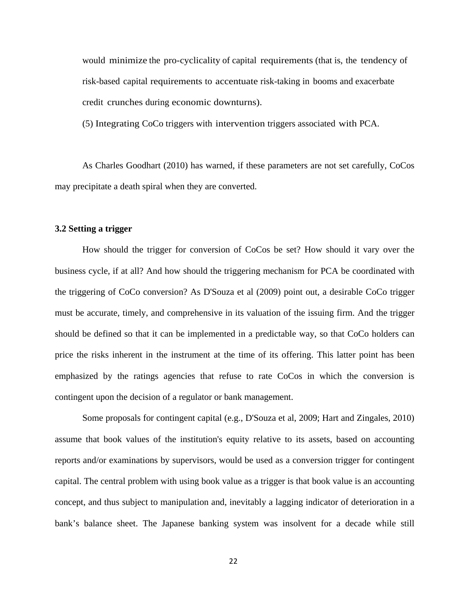would minimize the pro-cyclicality of capital requirements (that is, the tendency of risk-based capital requirements to accentuate risk-taking in booms and exacerbate credit crunches during economic downturns).

(5) Integrating CoCo triggers with intervention triggers associated with PCA.

 As Charles Goodhart (2010) has warned, if these parameters are not set carefully, CoCos may precipitate a death spiral when they are converted.

# **3.2 Setting a trigger**

How should the trigger for conversion of CoCos be set? How should it vary over the business cycle, if at all? And how should the triggering mechanism for PCA be coordinated with the triggering of CoCo conversion? As D'Souza et al (2009) point out, a desirable CoCo trigger must be accurate, timely, and comprehensive in its valuation of the issuing firm. And the trigger should be defined so that it can be implemented in a predictable way, so that CoCo holders can price the risks inherent in the instrument at the time of its offering. This latter point has been emphasized by the ratings agencies that refuse to rate CoCos in which the conversion is contingent upon the decision of a regulator or bank management.

 Some proposals for contingent capital (e.g., D'Souza et al, 2009; Hart and Zingales, 2010) assume that book values of the institution's equity relative to its assets, based on accounting reports and/or examinations by supervisors, would be used as a conversion trigger for contingent capital. The central problem with using book value as a trigger is that book value is an accounting concept, and thus subject to manipulation and, inevitably a lagging indicator of deterioration in a bank's balance sheet. The Japanese banking system was insolvent for a decade while still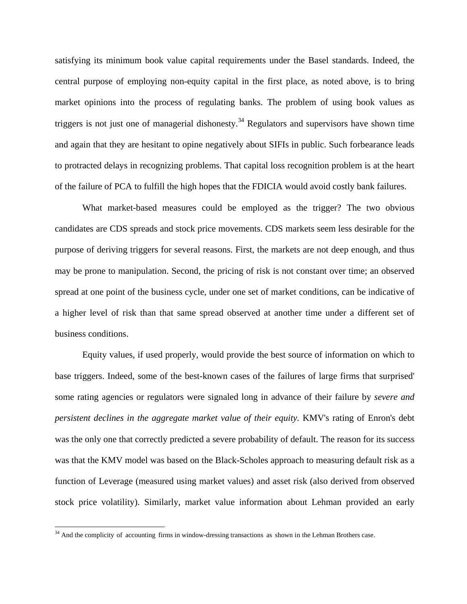satisfying its minimum book value capital requirements under the Basel standards. Indeed, the central purpose of employing non-equity capital in the first place, as noted above, is to bring market opinions into the process of regulating banks. The problem of using book values as triggers is not just one of managerial dishonesty.<sup>34</sup> Regulators and supervisors have shown time and again that they are hesitant to opine negatively about SIFIs in public. Such forbearance leads to protracted delays in recognizing problems. That capital loss recognition problem is at the heart of the failure of PCA to fulfill the high hopes that the FDICIA would avoid costly bank failures.

 What market-based measures could be employed as the trigger? The two obvious candidates are CDS spreads and stock price movements. CDS markets seem less desirable for the purpose of deriving triggers for several reasons. First, the markets are not deep enough, and thus may be prone to manipulation. Second, the pricing of risk is not constant over time; an observed spread at one point of the business cycle, under one set of market conditions, can be indicative of a higher level of risk than that same spread observed at another time under a different set of business conditions.

 Equity values, if used properly, would provide the best source of information on which to base triggers. Indeed, some of the best-known cases of the failures of large firms that surprised' some rating agencies or regulators were signaled long in advance of their failure by *severe and persistent declines in the aggregate market value of their equity.* KMV's rating of Enron's debt was the only one that correctly predicted a severe probability of default. The reason for its success was that the KMV model was based on the Black-Scholes approach to measuring default risk as a function of Leverage (measured using market values) and asset risk (also derived from observed stock price volatility). Similarly, market value information about Lehman provided an early

<sup>&</sup>lt;sup>34</sup> And the complicity of accounting firms in window-dressing transactions as shown in the Lehman Brothers case.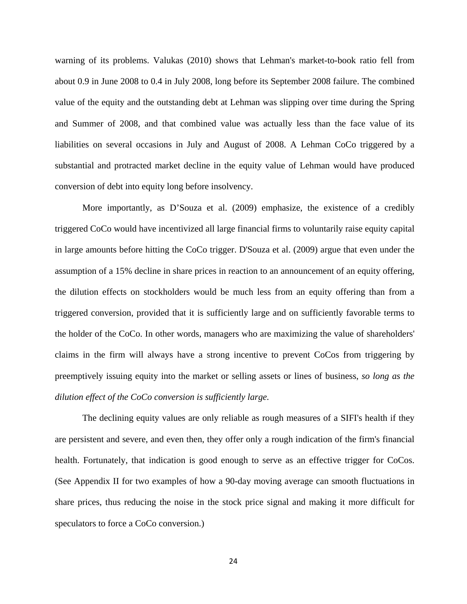warning of its problems. Valukas (2010) shows that Lehman's market-to-book ratio fell from about 0.9 in June 2008 to 0.4 in July 2008, long before its September 2008 failure. The combined value of the equity and the outstanding debt at Lehman was slipping over time during the Spring and Summer of 2008, and that combined value was actually less than the face value of its liabilities on several occasions in July and August of 2008. A Lehman CoCo triggered by a substantial and protracted market decline in the equity value of Lehman would have produced conversion of debt into equity long before insolvency.

 More importantly, as D'Souza et al. (2009) emphasize, the existence of a credibly triggered CoCo would have incentivized all large financial firms to voluntarily raise equity capital in large amounts before hitting the CoCo trigger. D'Souza et al. (2009) argue that even under the assumption of a 15% decline in share prices in reaction to an announcement of an equity offering, the dilution effects on stockholders would be much less from an equity offering than from a triggered conversion, provided that it is sufficiently large and on sufficiently favorable terms to the holder of the CoCo. In other words, managers who are maximizing the value of shareholders' claims in the firm will always have a strong incentive to prevent CoCos from triggering by preemptively issuing equity into the market or selling assets or lines of business, *so long as the dilution effect of the CoCo conversion is sufficiently large.*

 The declining equity values are only reliable as rough measures of a SIFI's health if they are persistent and severe, and even then, they offer only a rough indication of the firm's financial health. Fortunately, that indication is good enough to serve as an effective trigger for CoCos. (See Appendix II for two examples of how a 90-day moving average can smooth fluctuations in share prices, thus reducing the noise in the stock price signal and making it more difficult for speculators to force a CoCo conversion.)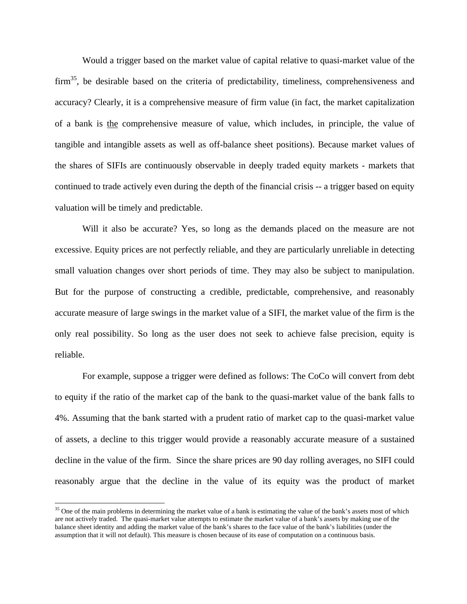Would a trigger based on the market value of capital relative to quasi-market value of the  $firm<sup>35</sup>$ , be desirable based on the criteria of predictability, timeliness, comprehensiveness and accuracy? Clearly, it is a comprehensive measure of firm value (in fact, the market capitalization of a bank is the comprehensive measure of value, which includes, in principle, the value of tangible and intangible assets as well as off-balance sheet positions). Because market values of the shares of SIFIs are continuously observable in deeply traded equity markets - markets that continued to trade actively even during the depth of the financial crisis -- a trigger based on equity valuation will be timely and predictable.

 Will it also be accurate? Yes, so long as the demands placed on the measure are not excessive. Equity prices are not perfectly reliable, and they are particularly unreliable in detecting small valuation changes over short periods of time. They may also be subject to manipulation. But for the purpose of constructing a credible, predictable, comprehensive, and reasonably accurate measure of large swings in the market value of a SIFI, the market value of the firm is the only real possibility. So long as the user does not seek to achieve false precision, equity is reliable.

 For example, suppose a trigger were defined as follows: The CoCo will convert from debt to equity if the ratio of the market cap of the bank to the quasi-market value of the bank falls to 4%. Assuming that the bank started with a prudent ratio of market cap to the quasi-market value of assets, a decline to this trigger would provide a reasonably accurate measure of a sustained decline in the value of the firm. Since the share prices are 90 day rolling averages, no SIFI could reasonably argue that the decline in the value of its equity was the product of market

<sup>&</sup>lt;sup>35</sup> One of the main problems in determining the market value of a bank is estimating the value of the bank's assets most of which are not actively traded. The quasi-market value attempts to estimate the market value of a bank's assets by making use of the balance sheet identity and adding the market value of the bank's shares to the face value of the bank's liabilities (under the assumption that it will not default). This measure is chosen because of its ease of computation on a continuous basis.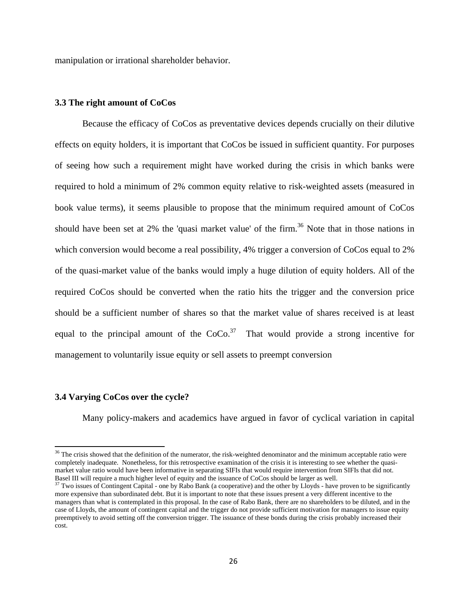manipulation or irrational shareholder behavior.

# **3.3 The right amount of CoCos**

Because the efficacy of CoCos as preventative devices depends crucially on their dilutive effects on equity holders, it is important that CoCos be issued in sufficient quantity. For purposes of seeing how such a requirement might have worked during the crisis in which banks were required to hold a minimum of 2% common equity relative to risk-weighted assets (measured in book value terms), it seems plausible to propose that the minimum required amount of CoCos should have been set at 2% the 'quasi market value' of the firm.<sup>36</sup> Note that in those nations in which conversion would become a real possibility, 4% trigger a conversion of CoCos equal to 2% of the quasi-market value of the banks would imply a huge dilution of equity holders. All of the required CoCos should be converted when the ratio hits the trigger and the conversion price should be a sufficient number of shares so that the market value of shares received is at least equal to the principal amount of the  $CoCo<sup>37</sup>$  That would provide a strong incentive for management to voluntarily issue equity or sell assets to preempt conversion

### **3.4 Varying CoCos over the cycle?**

Many policy-makers and academics have argued in favor of cyclical variation in capital

<sup>&</sup>lt;sup>36</sup> The crisis showed that the definition of the numerator, the risk-weighted denominator and the minimum acceptable ratio were completely inadequate. Nonetheless, for this retrospective examination of the crisis it is interesting to see whether the quasimarket value ratio would have been informative in separating SIFIs that would require intervention from SIFIs that did not.<br>Basel III will require a much higher level of equity and the issuance of CoCos should be larger as

<sup>&</sup>lt;sup>37</sup> Two issues of Contingent Capital - one by Rabo Bank (a cooperative) and the other by Lloyds - have proven to be significantly more expensive than subordinated debt. But it is important to note that these issues present a very different incentive to the managers than what is contemplated in this proposal. In the case of Rabo Bank, there are no shareholders to be diluted, and in the case of Lloyds, the amount of contingent capital and the trigger do not provide sufficient motivation for managers to issue equity preemptively to avoid setting off the conversion trigger. The issuance of these bonds during the crisis probably increased their cost.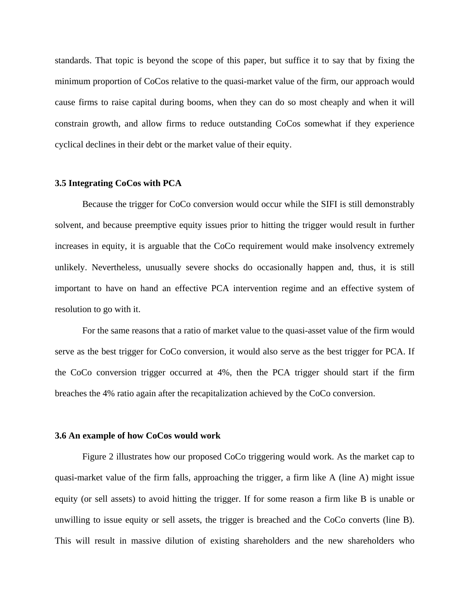standards. That topic is beyond the scope of this paper, but suffice it to say that by fixing the minimum proportion of CoCos relative to the quasi-market value of the firm, our approach would cause firms to raise capital during booms, when they can do so most cheaply and when it will constrain growth, and allow firms to reduce outstanding CoCos somewhat if they experience cyclical declines in their debt or the market value of their equity.

### **3.5 Integrating CoCos with PCA**

Because the trigger for CoCo conversion would occur while the SIFI is still demonstrably solvent, and because preemptive equity issues prior to hitting the trigger would result in further increases in equity, it is arguable that the CoCo requirement would make insolvency extremely unlikely. Nevertheless, unusually severe shocks do occasionally happen and, thus, it is still important to have on hand an effective PCA intervention regime and an effective system of resolution to go with it.

 For the same reasons that a ratio of market value to the quasi-asset value of the firm would serve as the best trigger for CoCo conversion, it would also serve as the best trigger for PCA. If the CoCo conversion trigger occurred at 4%, then the PCA trigger should start if the firm breaches the 4% ratio again after the recapitalization achieved by the CoCo conversion.

# **3.6 An example of how CoCos would work**

Figure 2 illustrates how our proposed CoCo triggering would work. As the market cap to quasi-market value of the firm falls, approaching the trigger, a firm like A (line A) might issue equity (or sell assets) to avoid hitting the trigger. If for some reason a firm like B is unable or unwilling to issue equity or sell assets, the trigger is breached and the CoCo converts (line B). This will result in massive dilution of existing shareholders and the new shareholders who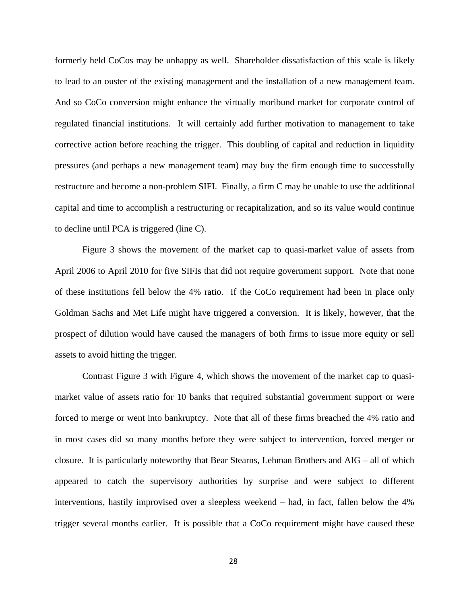formerly held CoCos may be unhappy as well. Shareholder dissatisfaction of this scale is likely to lead to an ouster of the existing management and the installation of a new management team. And so CoCo conversion might enhance the virtually moribund market for corporate control of regulated financial institutions. It will certainly add further motivation to management to take corrective action before reaching the trigger. This doubling of capital and reduction in liquidity pressures (and perhaps a new management team) may buy the firm enough time to successfully restructure and become a non-problem SIFI. Finally, a firm C may be unable to use the additional capital and time to accomplish a restructuring or recapitalization, and so its value would continue to decline until PCA is triggered (line C).

 Figure 3 shows the movement of the market cap to quasi-market value of assets from April 2006 to April 2010 for five SIFIs that did not require government support. Note that none of these institutions fell below the 4% ratio. If the CoCo requirement had been in place only Goldman Sachs and Met Life might have triggered a conversion. It is likely, however, that the prospect of dilution would have caused the managers of both firms to issue more equity or sell assets to avoid hitting the trigger.

 Contrast Figure 3 with Figure 4, which shows the movement of the market cap to quasimarket value of assets ratio for 10 banks that required substantial government support or were forced to merge or went into bankruptcy. Note that all of these firms breached the 4% ratio and in most cases did so many months before they were subject to intervention, forced merger or closure. It is particularly noteworthy that Bear Stearns, Lehman Brothers and AIG – all of which appeared to catch the supervisory authorities by surprise and were subject to different interventions, hastily improvised over a sleepless weekend – had, in fact, fallen below the 4% trigger several months earlier. It is possible that a CoCo requirement might have caused these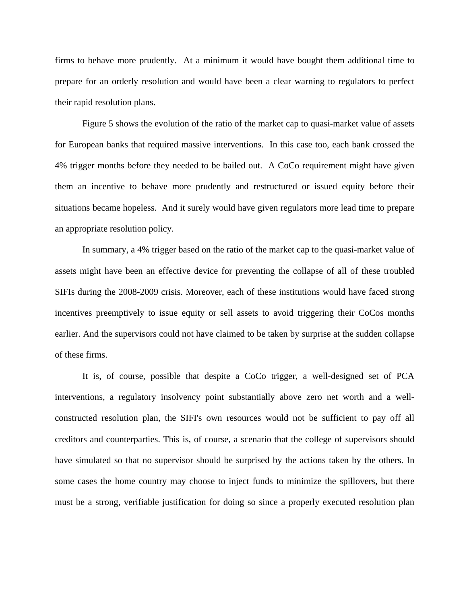firms to behave more prudently. At a minimum it would have bought them additional time to prepare for an orderly resolution and would have been a clear warning to regulators to perfect their rapid resolution plans.

 Figure 5 shows the evolution of the ratio of the market cap to quasi-market value of assets for European banks that required massive interventions. In this case too, each bank crossed the 4% trigger months before they needed to be bailed out. A CoCo requirement might have given them an incentive to behave more prudently and restructured or issued equity before their situations became hopeless. And it surely would have given regulators more lead time to prepare an appropriate resolution policy.

 In summary, a 4% trigger based on the ratio of the market cap to the quasi-market value of assets might have been an effective device for preventing the collapse of all of these troubled SIFIs during the 2008-2009 crisis. Moreover, each of these institutions would have faced strong incentives preemptively to issue equity or sell assets to avoid triggering their CoCos months earlier. And the supervisors could not have claimed to be taken by surprise at the sudden collapse of these firms.

 It is, of course, possible that despite a CoCo trigger, a well-designed set of PCA interventions, a regulatory insolvency point substantially above zero net worth and a wellconstructed resolution plan, the SIFI's own resources would not be sufficient to pay off all creditors and counterparties. This is, of course, a scenario that the college of supervisors should have simulated so that no supervisor should be surprised by the actions taken by the others. In some cases the home country may choose to inject funds to minimize the spillovers, but there must be a strong, verifiable justification for doing so since a properly executed resolution plan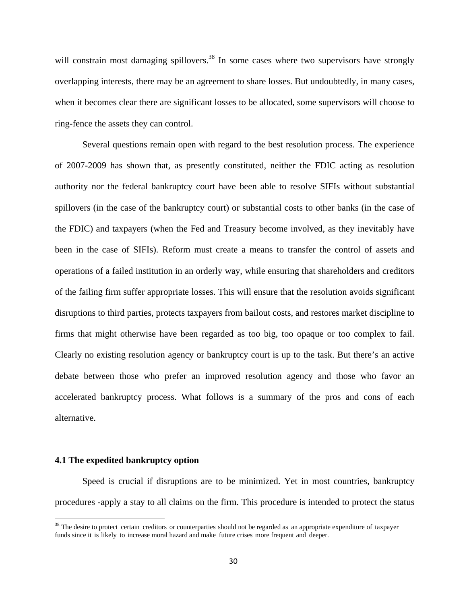will constrain most damaging spillovers.<sup>38</sup> In some cases where two supervisors have strongly overlapping interests, there may be an agreement to share losses. But undoubtedly, in many cases, when it becomes clear there are significant losses to be allocated, some supervisors will choose to ring-fence the assets they can control.

 Several questions remain open with regard to the best resolution process. The experience of 2007-2009 has shown that, as presently constituted, neither the FDIC acting as resolution authority nor the federal bankruptcy court have been able to resolve SIFIs without substantial spillovers (in the case of the bankruptcy court) or substantial costs to other banks (in the case of the FDIC) and taxpayers (when the Fed and Treasury become involved, as they inevitably have been in the case of SIFIs). Reform must create a means to transfer the control of assets and operations of a failed institution in an orderly way, while ensuring that shareholders and creditors of the failing firm suffer appropriate losses. This will ensure that the resolution avoids significant disruptions to third parties, protects taxpayers from bailout costs, and restores market discipline to firms that might otherwise have been regarded as too big, too opaque or too complex to fail. Clearly no existing resolution agency or bankruptcy court is up to the task. But there's an active debate between those who prefer an improved resolution agency and those who favor an accelerated bankruptcy process. What follows is a summary of the pros and cons of each alternative.

# **4.1 The expedited bankruptcy option**

 Speed is crucial if disruptions are to be minimized. Yet in most countries, bankruptcy procedures -apply a stay to all claims on the firm. This procedure is intended to protect the status

<sup>&</sup>lt;sup>38</sup> The desire to protect certain creditors or counterparties should not be regarded as an appropriate expenditure of taxpayer funds since it is likely to increase moral hazard and make future crises more frequent and deeper.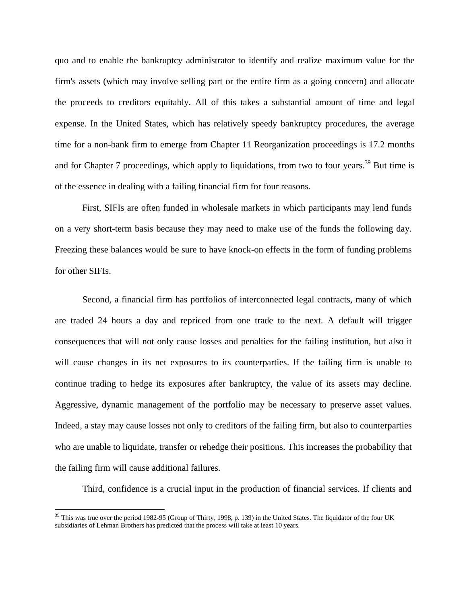quo and to enable the bankruptcy administrator to identify and realize maximum value for the firm's assets (which may involve selling part or the entire firm as a going concern) and allocate the proceeds to creditors equitably. All of this takes a substantial amount of time and legal expense. In the United States, which has relatively speedy bankruptcy procedures, the average time for a non-bank firm to emerge from Chapter 11 Reorganization proceedings is 17.2 months and for Chapter 7 proceedings, which apply to liquidations, from two to four years.<sup>39</sup> But time is of the essence in dealing with a failing financial firm for four reasons.

 First, SIFIs are often funded in wholesale markets in which participants may lend funds on a very short-term basis because they may need to make use of the funds the following day. Freezing these balances would be sure to have knock-on effects in the form of funding problems for other SIFIs.

 Second, a financial firm has portfolios of interconnected legal contracts, many of which are traded 24 hours a day and repriced from one trade to the next. A default will trigger consequences that will not only cause losses and penalties for the failing institution, but also it will cause changes in its net exposures to its counterparties. If the failing firm is unable to continue trading to hedge its exposures after bankruptcy, the value of its assets may decline. Aggressive, dynamic management of the portfolio may be necessary to preserve asset values. Indeed, a stay may cause losses not only to creditors of the failing firm, but also to counterparties who are unable to liquidate, transfer or rehedge their positions. This increases the probability that the failing firm will cause additional failures.

Third, confidence is a crucial input in the production of financial services. If clients and

 $39$  This was true over the period 1982-95 (Group of Thirty, 1998, p. 139) in the United States. The liquidator of the four UK subsidiaries of Lehman Brothers has predicted that the process will take at least 10 years.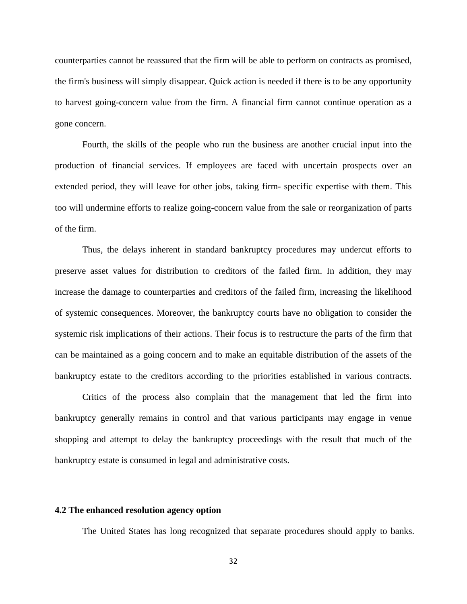counterparties cannot be reassured that the firm will be able to perform on contracts as promised, the firm's business will simply disappear. Quick action is needed if there is to be any opportunity to harvest going-concern value from the firm. A financial firm cannot continue operation as a gone concern.

 Fourth, the skills of the people who run the business are another crucial input into the production of financial services. If employees are faced with uncertain prospects over an extended period, they will leave for other jobs, taking firm- specific expertise with them. This too will undermine efforts to realize going-concern value from the sale or reorganization of parts of the firm.

 Thus, the delays inherent in standard bankruptcy procedures may undercut efforts to preserve asset values for distribution to creditors of the failed firm. In addition, they may increase the damage to counterparties and creditors of the failed firm, increasing the likelihood of systemic consequences. Moreover, the bankruptcy courts have no obligation to consider the systemic risk implications of their actions. Their focus is to restructure the parts of the firm that can be maintained as a going concern and to make an equitable distribution of the assets of the bankruptcy estate to the creditors according to the priorities established in various contracts.

 Critics of the process also complain that the management that led the firm into bankruptcy generally remains in control and that various participants may engage in venue shopping and attempt to delay the bankruptcy proceedings with the result that much of the bankruptcy estate is consumed in legal and administrative costs.

# **4.2 The enhanced resolution agency option**

The United States has long recognized that separate procedures should apply to banks.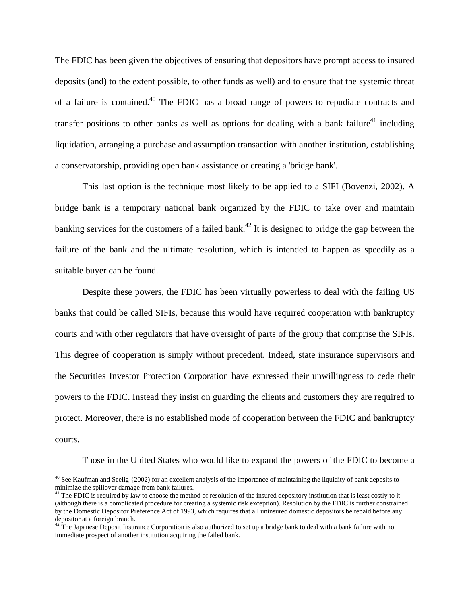The FDIC has been given the objectives of ensuring that depositors have prompt access to insured deposits (and) to the extent possible, to other funds as well) and to ensure that the systemic threat of a failure is contained.<sup>40</sup> The FDIC has a broad range of powers to repudiate contracts and transfer positions to other banks as well as options for dealing with a bank failure<sup>41</sup> including liquidation, arranging a purchase and assumption transaction with another institution, establishing a conservatorship, providing open bank assistance or creating a 'bridge bank'.

 This last option is the technique most likely to be applied to a SIFI (Bovenzi, 2002). A bridge bank is a temporary national bank organized by the FDIC to take over and maintain banking services for the customers of a failed bank.<sup>42</sup> It is designed to bridge the gap between the failure of the bank and the ultimate resolution, which is intended to happen as speedily as a suitable buyer can be found.

 Despite these powers, the FDIC has been virtually powerless to deal with the failing US banks that could be called SIFIs, because this would have required cooperation with bankruptcy courts and with other regulators that have oversight of parts of the group that comprise the SIFIs. This degree of cooperation is simply without precedent. Indeed, state insurance supervisors and the Securities Investor Protection Corporation have expressed their unwillingness to cede their powers to the FDIC. Instead they insist on guarding the clients and customers they are required to protect. Moreover, there is no established mode of cooperation between the FDIC and bankruptcy courts.

Those in the United States who would like to expand the powers of the FDIC to become a

 $40$  See Kaufman and Seelig  $\{2002\}$  for an excellent analysis of the importance of maintaining the liquidity of bank deposits to minimize the spillover damage from bank failures.

<sup>&</sup>lt;sup>41</sup> The FDIC is required by law to choose the method of resolution of the insured depository institution that is least costly to it (although there is a complicated procedure for creating a systemic risk exception). Resolution by the FDIC is further constrained by the Domestic Depositor Preference Act of 1993, which requires that all uninsured domestic depositors be repaid before any depositor at a foreign branch.

 $42$  The Japanese Deposit Insurance Corporation is also authorized to set up a bridge bank to deal with a bank failure with no immediate prospect of another institution acquiring the failed bank.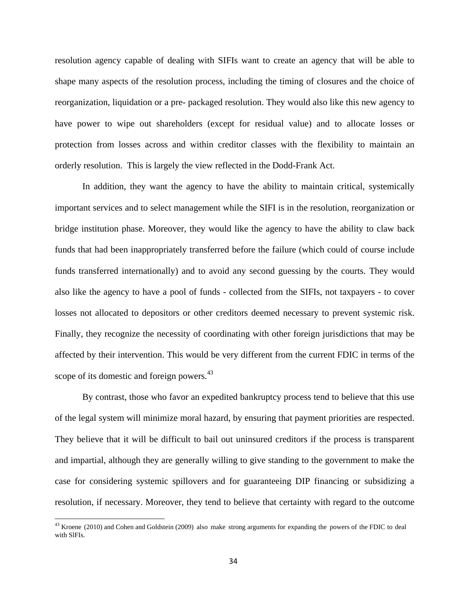resolution agency capable of dealing with SIFIs want to create an agency that will be able to shape many aspects of the resolution process, including the timing of closures and the choice of reorganization, liquidation or a pre- packaged resolution. They would also like this new agency to have power to wipe out shareholders (except for residual value) and to allocate losses or protection from losses across and within creditor classes with the flexibility to maintain an orderly resolution. This is largely the view reflected in the Dodd-Frank Act.

 In addition, they want the agency to have the ability to maintain critical, systemically important services and to select management while the SIFI is in the resolution, reorganization or bridge institution phase. Moreover, they would like the agency to have the ability to claw back funds that had been inappropriately transferred before the failure (which could of course include funds transferred internationally) and to avoid any second guessing by the courts. They would also like the agency to have a pool of funds - collected from the SIFIs, not taxpayers - to cover losses not allocated to depositors or other creditors deemed necessary to prevent systemic risk. Finally, they recognize the necessity of coordinating with other foreign jurisdictions that may be affected by their intervention. This would be very different from the current FDIC in terms of the scope of its domestic and foreign powers.<sup>43</sup>

 By contrast, those who favor an expedited bankruptcy process tend to believe that this use of the legal system will minimize moral hazard, by ensuring that payment priorities are respected. They believe that it will be difficult to bail out uninsured creditors if the process is transparent and impartial, although they are generally willing to give standing to the government to make the case for considering systemic spillovers and for guaranteeing DIP financing or subsidizing a resolution, if necessary. Moreover, they tend to believe that certainty with regard to the outcome

 $43$  Kroene (2010) and Cohen and Goldstein (2009) also make strong arguments for expanding the powers of the FDIC to deal with SlFIs.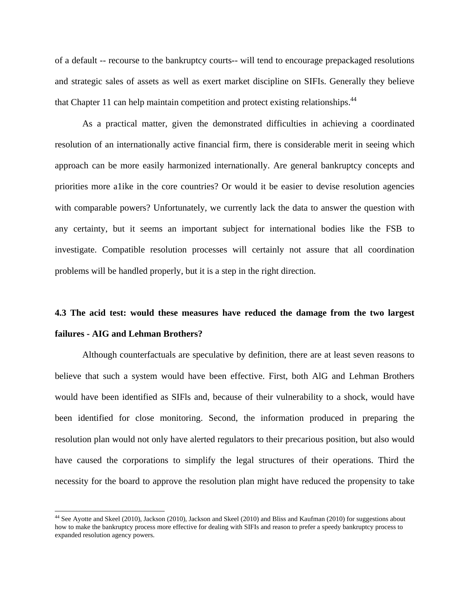of a default -- recourse to the bankruptcy courts-- will tend to encourage prepackaged resolutions and strategic sales of assets as well as exert market discipline on SIFIs. Generally they believe that Chapter 11 can help maintain competition and protect existing relationships.  $44$ 

 As a practical matter, given the demonstrated difficulties in achieving a coordinated resolution of an internationally active financial firm, there is considerable merit in seeing which approach can be more easily harmonized internationally. Are general bankruptcy concepts and priorities more a1ike in the core countries? Or would it be easier to devise resolution agencies with comparable powers? Unfortunately, we currently lack the data to answer the question with any certainty, but it seems an important subject for international bodies like the FSB to investigate. Compatible resolution processes will certainly not assure that all coordination problems will be handled properly, but it is a step in the right direction.

# **4.3 The acid test: would these measures have reduced the damage from the two largest failures - AIG and Lehman Brothers?**

Although counterfactuals are speculative by definition, there are at least seven reasons to believe that such a system would have been effective. First, both AlG and Lehman Brothers would have been identified as SIFls and, because of their vulnerability to a shock, would have been identified for close monitoring. Second, the information produced in preparing the resolution plan would not only have alerted regulators to their precarious position, but also would have caused the corporations to simplify the legal structures of their operations. Third the necessity for the board to approve the resolution plan might have reduced the propensity to take

<sup>&</sup>lt;sup>44</sup> See Ayotte and Skeel (2010), Jackson (2010), Jackson and Skeel (2010) and Bliss and Kaufman (2010) for suggestions about how to make the bankruptcy process more effective for dealing with SIFIs and reason to prefer a speedy bankruptcy process to expanded resolution agency powers.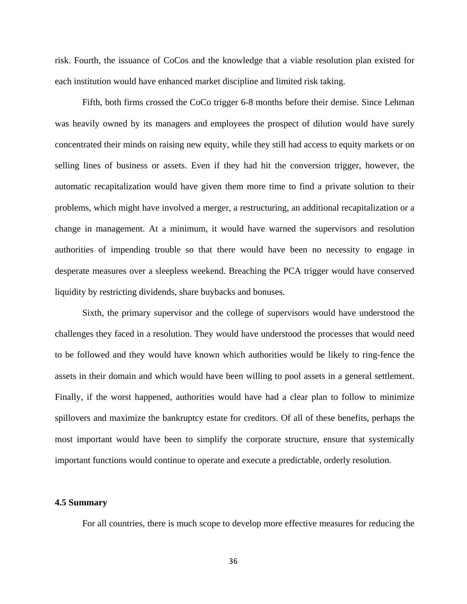risk. Fourth, the issuance of CoCos and the knowledge that a viable resolution plan existed for each institution would have enhanced market discipline and limited risk taking.

 Fifth, both firms crossed the CoCo trigger 6-8 months before their demise. Since Lehman was heavily owned by its managers and employees the prospect of dilution would have surely concentrated their minds on raising new equity, while they still had access to equity markets or on selling lines of business or assets. Even if they had hit the conversion trigger, however, the automatic recapitalization would have given them more time to find a private solution to their problems, which might have involved a merger, a restructuring, an additional recapitalization or a change in management. At a minimum, it would have warned the supervisors and resolution authorities of impending trouble so that there would have been no necessity to engage in desperate measures over a sleepless weekend. Breaching the PCA trigger would have conserved liquidity by restricting dividends, share buybacks and bonuses.

 Sixth, the primary supervisor and the college of supervisors would have understood the challenges they faced in a resolution. They would have understood the processes that would need to be followed and they would have known which authorities would be likely to ring-fence the assets in their domain and which would have been willing to pool assets in a general settlement. Finally, if the worst happened, authorities would have had a clear plan to follow to minimize spillovers and maximize the bankruptcy estate for creditors. Of all of these benefits, perhaps the most important would have been to simplify the corporate structure, ensure that systemically important functions would continue to operate and execute a predictable, orderly resolution.

### **4.5 Summary**

For all countries, there is much scope to develop more effective measures for reducing the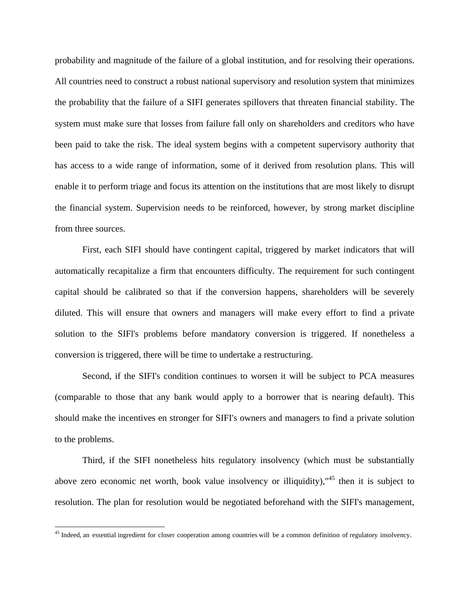probability and magnitude of the failure of a global institution, and for resolving their operations. All countries need to construct a robust national supervisory and resolution system that minimizes the probability that the failure of a SIFI generates spillovers that threaten financial stability. The system must make sure that losses from failure fall only on shareholders and creditors who have been paid to take the risk. The ideal system begins with a competent supervisory authority that has access to a wide range of information, some of it derived from resolution plans. This will enable it to perform triage and focus its attention on the institutions that are most likely to disrupt the financial system. Supervision needs to be reinforced, however, by strong market discipline from three sources.

 First, each SIFI should have contingent capital, triggered by market indicators that will automatically recapitalize a firm that encounters difficulty. The requirement for such contingent capital should be calibrated so that if the conversion happens, shareholders will be severely diluted. This will ensure that owners and managers will make every effort to find a private solution to the SIFl's problems before mandatory conversion is triggered. If nonetheless a conversion is triggered, there will be time to undertake a restructuring.

 Second, if the SIFI's condition continues to worsen it will be subject to PCA measures (comparable to those that any bank would apply to a borrower that is nearing default). This should make the incentives en stronger for SIFI's owners and managers to find a private solution to the problems.

 Third, if the SIFI nonetheless hits regulatory insolvency (which must be substantially above zero economic net worth, book value insolvency or illiquidity),  $45$  then it is subject to resolution. The plan for resolution would be negotiated beforehand with the SIFI's management,

<sup>&</sup>lt;sup>45</sup> Indeed, an essential ingredient for closer cooperation among countries will be a common definition of regulatory insolvency.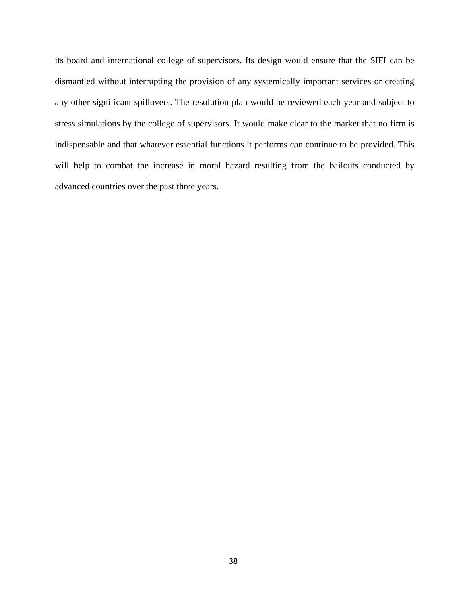its board and international college of supervisors. Its design would ensure that the SIFI can be dismantled without interrupting the provision of any systemically important services or creating any other significant spillovers. The resolution plan would be reviewed each year and subject to stress simulations by the college of supervisors. It would make clear to the market that no firm is indispensable and that whatever essential functions it performs can continue to be provided. This will help to combat the increase in moral hazard resulting from the bailouts conducted by advanced countries over the past three years.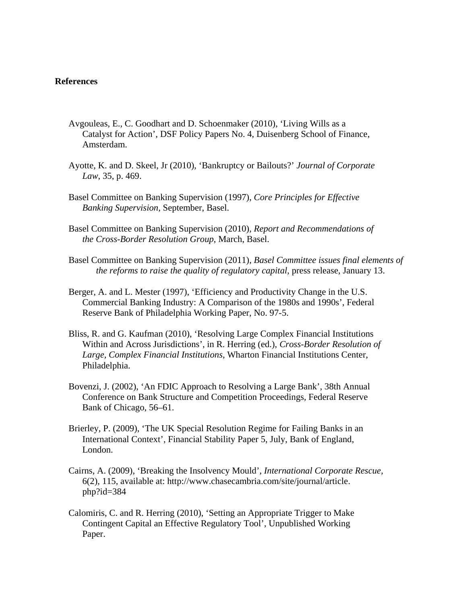# **References**

- Avgouleas, E., C. Goodhart and D. Schoenmaker (2010), 'Living Wills as a Catalyst for Action', DSF Policy Papers No. 4, Duisenberg School of Finance, Amsterdam.
- Ayotte, K. and D. Skeel, Jr (2010), 'Bankruptcy or Bailouts?' *Journal of Corporate Law*, 35, p. 469.
- Basel Committee on Banking Supervision (1997), *Core Principles for Effective Banking Supervision*, September, Basel.
- Basel Committee on Banking Supervision (2010), *Report and Recommendations of the Cross-Border Resolution Group*, March, Basel.
- Basel Committee on Banking Supervision (2011), *Basel Committee issues final elements of the reforms to raise the quality of regulatory capital*, press release, January 13.
- Berger, A. and L. Mester (1997), 'Efficiency and Productivity Change in the U.S. Commercial Banking Industry: A Comparison of the 1980s and 1990s', Federal Reserve Bank of Philadelphia Working Paper, No. 97-5.
- Bliss, R. and G. Kaufman (2010), 'Resolving Large Complex Financial Institutions Within and Across Jurisdictions', in R. Herring (ed.), *Cross-Border Resolution of Large, Complex Financial Institutions*, Wharton Financial Institutions Center, Philadelphia.
- Bovenzi, J. (2002), 'An FDIC Approach to Resolving a Large Bank', 38th Annual Conference on Bank Structure and Competition Proceedings*,* Federal Reserve Bank of Chicago, 56–61.
- Brierley, P. (2009), 'The UK Special Resolution Regime for Failing Banks in an International Context', Financial Stability Paper 5, July, Bank of England, London.
- Cairns, A. (2009), 'Breaking the Insolvency Mould', *International Corporate Rescue,*  6(2), 115, available at: http://www.chasecambria.com/site/journal/article. php?id=384
- Calomiris, C. and R. Herring (2010), 'Setting an Appropriate Trigger to Make Contingent Capital an Effective Regulatory Tool', Unpublished Working Paper.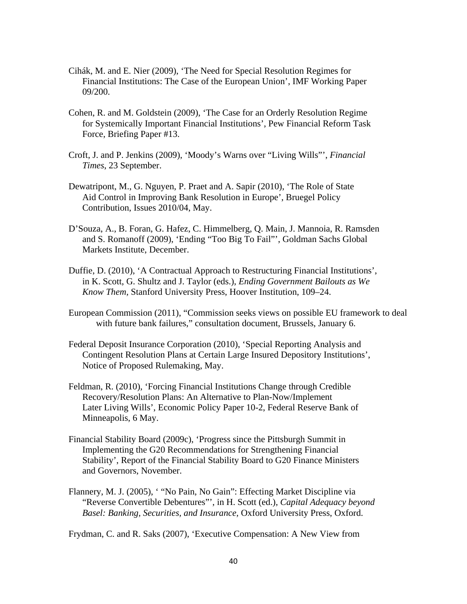- Cihák, M. and E. Nier (2009), 'The Need for Special Resolution Regimes for Financial Institutions: The Case of the European Union', IMF Working Paper 09/200.
- Cohen, R. and M. Goldstein (2009), 'The Case for an Orderly Resolution Regime for Systemically Important Financial Institutions', Pew Financial Reform Task Force, Briefing Paper #13.
- Croft, J. and P. Jenkins (2009), 'Moody's Warns over "Living Wills"', *Financial Times*, 23 September.
- Dewatripont, M., G. Nguyen, P. Praet and A. Sapir (2010), 'The Role of State Aid Control in Improving Bank Resolution in Europe', Bruegel Policy Contribution, Issues 2010/04, May.
- D'Souza, A., B. Foran, G. Hafez, C. Himmelberg, Q. Main, J. Mannoia, R. Ramsden and S. Romanoff (2009), 'Ending "Too Big To Fail"', Goldman Sachs Global Markets Institute, December.
- Duffie, D. (2010), 'A Contractual Approach to Restructuring Financial Institutions', in K. Scott, G. Shultz and J. Taylor (eds.), *Ending Government Bailouts as We Know Them,* Stanford University Press, Hoover Institution, 109–24.
- European Commission (2011), "Commission seeks views on possible EU framework to deal with future bank failures," consultation document, Brussels, January 6.
- Federal Deposit Insurance Corporation (2010), 'Special Reporting Analysis and Contingent Resolution Plans at Certain Large Insured Depository Institutions', Notice of Proposed Rulemaking, May.
- Feldman, R. (2010), 'Forcing Financial Institutions Change through Credible Recovery/Resolution Plans: An Alternative to Plan-Now/Implement Later Living Wills', Economic Policy Paper 10-2, Federal Reserve Bank of Minneapolis, 6 May.
- Financial Stability Board (2009c), 'Progress since the Pittsburgh Summit in Implementing the G20 Recommendations for Strengthening Financial Stability', Report of the Financial Stability Board to G20 Finance Ministers and Governors, November.
- Flannery, M. J. (2005), ' "No Pain, No Gain": Effecting Market Discipline via "Reverse Convertible Debentures"', in H. Scott (ed.), *Capital Adequacy beyond Basel: Banking, Securities, and Insurance,* Oxford University Press, Oxford.

Frydman, C. and R. Saks (2007), 'Executive Compensation: A New View from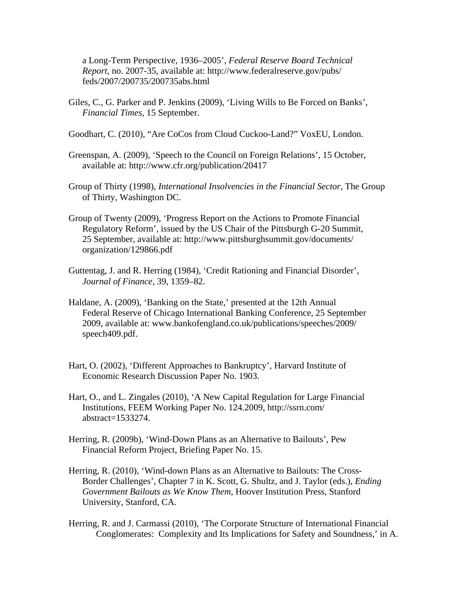a Long-Term Perspective, 1936–2005', *Federal Reserve Board Technical Report*, no. 2007-35, available at: http://www.federalreserve.gov/pubs/ feds/2007/200735/200735abs.html

- Giles, C., G. Parker and P. Jenkins (2009), 'Living Wills to Be Forced on Banks',  *Financial Times,* 15 September.
- Goodhart, C. (2010), "Are CoCos from Cloud Cuckoo-Land?" VoxEU, London.
- Greenspan, A. (2009), 'Speech to the Council on Foreign Relations', 15 October, available at: http://www.cfr.org/publication/20417
- Group of Thirty (1998), *International Insolvencies in the Financial Sector,* The Group of Thirty, Washington DC.
- Group of Twenty (2009), 'Progress Report on the Actions to Promote Financial Regulatory Reform', issued by the US Chair of the Pittsburgh G-20 Summit, 25 September, available at: http://www.pittsburghsummit.gov/documents/ organization/129866.pdf
- Guttentag, J. and R. Herring (1984), 'Credit Rationing and Financial Disorder',  *Journal of Finance*, 39, 1359–82.
- Haldane, A. (2009), 'Banking on the State,' presented at the 12th Annual Federal Reserve of Chicago International Banking Conference, 25 September 2009, available at: www.bankofengland.co.uk/publications/speeches/2009/ speech409.pdf.
- Hart, O. (2002), 'Different Approaches to Bankruptcy', Harvard Institute of Economic Research Discussion Paper No. 1903.
- Hart, O., and L. Zingales (2010), 'A New Capital Regulation for Large Financial Institutions, FEEM Working Paper No. 124.2009, http://ssrn.com/ abstract=1533274.
- Herring, R. (2009b), 'Wind-Down Plans as an Alternative to Bailouts', Pew Financial Reform Project, Briefing Paper No. 15.
- Herring, R. (2010), 'Wind-down Plans as an Alternative to Bailouts: The Cross- Border Challenges', Chapter 7 in K. Scott, G. Shultz, and J. Taylor (eds.), *Ending Government Bailouts as We Know Them,* Hoover Institution Press, Stanford University, Stanford, CA.
- Herring, R. and J. Carmassi (2010), 'The Corporate Structure of International Financial Conglomerates: Complexity and Its Implications for Safety and Soundness,' in A.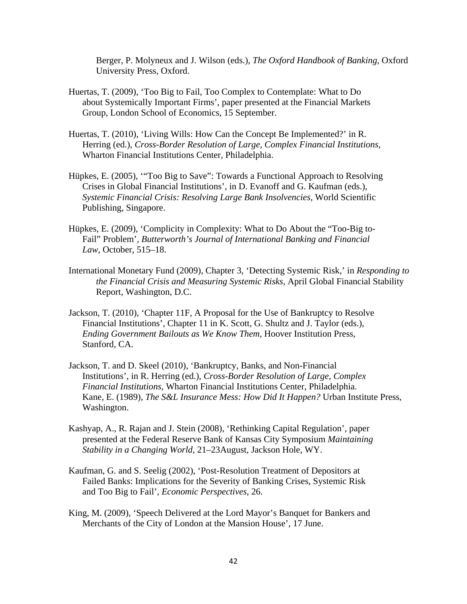Berger, P. Molyneux and J. Wilson (eds.), *The Oxford Handbook of Banking*, Oxford University Press, Oxford.

- Huertas, T. (2009), 'Too Big to Fail, Too Complex to Contemplate: What to Do about Systemically Important Firms', paper presented at the Financial Markets Group, London School of Economics, 15 September.
- Huertas, T. (2010), 'Living Wills: How Can the Concept Be Implemented?' in R. Herring (ed.), *Cross-Border Resolution of Large, Complex Financial Institutions*, Wharton Financial Institutions Center, Philadelphia.
- Hüpkes, E. (2005), '"Too Big to Save": Towards a Functional Approach to Resolving Crises in Global Financial Institutions', in D. Evanoff and G. Kaufman (eds.),  *Systemic Financial Crisis: Resolving Large Bank Insolvencies,* World Scientific Publishing, Singapore.
- Hüpkes, E. (2009), 'Complicity in Complexity: What to Do About the "Too-Big to- Fail" Problem', *Butterworth's Journal of International Banking and Financial Law*, October, 515–18.
- International Monetary Fund (2009), Chapter 3, 'Detecting Systemic Risk,' in *Responding to the Financial Crisis and Measuring Systemic Risks,* April Global Financial Stability Report, Washington, D.C.
- Jackson, T. (2010), 'Chapter 11F, A Proposal for the Use of Bankruptcy to Resolve Financial Institutions', Chapter 11 in K. Scott, G. Shultz and J. Taylor (eds.),  *Ending Government Bailouts as We Know Them,* Hoover Institution Press, Stanford, CA.
- Jackson, T. and D. Skeel (2010), 'Bankruptcy, Banks, and Non-Financial Institutions', in R. Herring (ed.), *Cross-Border Resolution of Large, Complex Financial Institutions,* Wharton Financial Institutions Center, Philadelphia. Kane, E. (1989), *The S&L Insurance Mess: How Did It Happen?* Urban Institute Press, Washington.
- Kashyap, A., R. Rajan and J. Stein (2008), 'Rethinking Capital Regulation', paper presented at the Federal Reserve Bank of Kansas City Symposium *Maintaining Stability in a Changing World*, 21–23August, Jackson Hole, WY.
- Kaufman, G. and S. Seelig (2002), 'Post-Resolution Treatment of Depositors at Failed Banks: Implications for the Severity of Banking Crises, Systemic Risk and Too Big to Fail', *Economic Perspectives*, 26.
- King, M. (2009), 'Speech Delivered at the Lord Mayor's Banquet for Bankers and Merchants of the City of London at the Mansion House', 17 June.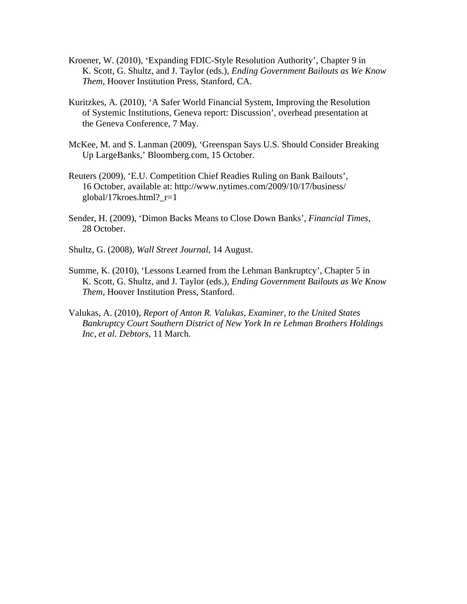- Kroener, W. (2010), 'Expanding FDIC-Style Resolution Authority', Chapter 9 in K. Scott, G. Shultz, and J. Taylor (eds.), *Ending Government Bailouts as We Know Them,* Hoover Institution Press, Stanford, CA.
- Kuritzkes, A. (2010), 'A Safer World Financial System, Improving the Resolution of Systemic Institutions, Geneva report: Discussion', overhead presentation at the Geneva Conference, 7 May.
- McKee, M. and S. Lanman (2009), 'Greenspan Says U.S. Should Consider Breaking Up LargeBanks,' Bloomberg.com, 15 October.
- Reuters (2009), 'E.U. Competition Chief Readies Ruling on Bank Bailouts', 16 October, available at: http://www.nytimes.com/2009/10/17/business/ global/17kroes.html?\_r=1
- Sender, H. (2009), 'Dimon Backs Means to Close Down Banks', *Financial Times*, 28 October.
- Shultz, G. (2008), *Wall Street Journal*, 14 August.
- Summe, K. (2010), 'Lessons Learned from the Lehman Bankruptcy', Chapter 5 in K. Scott, G. Shultz, and J. Taylor (eds.), *Ending Government Bailouts as We Know Them,* Hoover Institution Press, Stanford.
- Valukas, A. (2010), *Report of Anton R. Valukas, Examiner, to the United States Bankruptcy Court Southern District of New York In re Lehman Brothers Holdings Inc, et al. Debtors*, 11 March.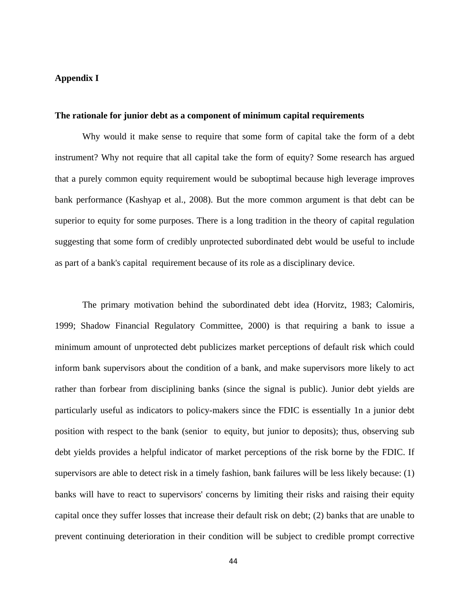# **Appendix I**

## **The rationale for junior debt as a component of minimum capital requirements**

Why would it make sense to require that some form of capital take the form of a debt instrument? Why not require that all capital take the form of equity? Some research has argued that a purely common equity requirement would be suboptimal because high leverage improves bank performance (Kashyap et al., 2008). But the more common argument is that debt can be superior to equity for some purposes. There is a long tradition in the theory of capital regulation suggesting that some form of credibly unprotected subordinated debt would be useful to include as part of a bank's capital requirement because of its role as a disciplinary device.

The primary motivation behind the subordinated debt idea (Horvitz, 1983; Calomiris, 1999; Shadow Financial Regulatory Committee, 2000) is that requiring a bank to issue a minimum amount of unprotected debt publicizes market perceptions of default risk which could inform bank supervisors about the condition of a bank, and make supervisors more likely to act rather than forbear from disciplining banks (since the signal is public). Junior debt yields are particularly useful as indicators to policy-makers since the FDIC is essentially 1n a junior debt position with respect to the bank (senior to equity, but junior to deposits); thus, observing sub debt yields provides a helpful indicator of market perceptions of the risk borne by the FDIC. If supervisors are able to detect risk in a timely fashion, bank failures will be less likely because: (1) banks will have to react to supervisors' concerns by limiting their risks and raising their equity capital once they suffer losses that increase their default risk on debt; (2) banks that are unable to prevent continuing deterioration in their condition will be subject to credible prompt corrective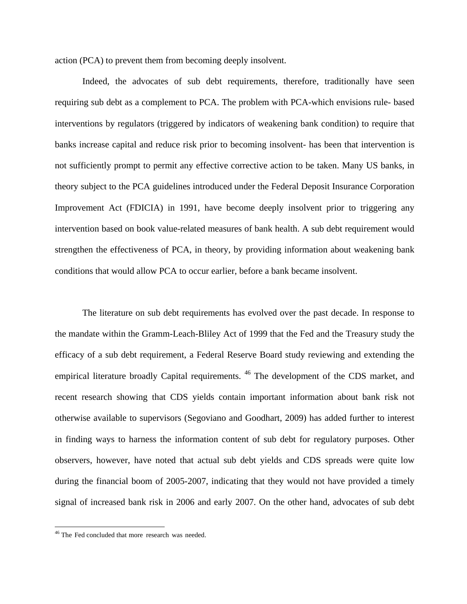action (PCA) to prevent them from becoming deeply insolvent.

Indeed, the advocates of sub debt requirements, therefore, traditionally have seen requiring sub debt as a complement to PCA. The problem with PCA-which envisions rule- based interventions by regulators (triggered by indicators of weakening bank condition) to require that banks increase capital and reduce risk prior to becoming insolvent- has been that intervention is not sufficiently prompt to permit any effective corrective action to be taken. Many US banks, in theory subject to the PCA guidelines introduced under the Federal Deposit Insurance Corporation Improvement Act (FDICIA) in 1991, have become deeply insolvent prior to triggering any intervention based on book value-related measures of bank health. A sub debt requirement would strengthen the effectiveness of PCA, in theory, by providing information about weakening bank conditions that would allow PCA to occur earlier, before a bank became insolvent.

The literature on sub debt requirements has evolved over the past decade. In response to the mandate within the Gramm-Leach-Bliley Act of 1999 that the Fed and the Treasury study the efficacy of a sub debt requirement, a Federal Reserve Board study reviewing and extending the empirical literature broadly Capital requirements. <sup>46</sup> The development of the CDS market, and recent research showing that CDS yields contain important information about bank risk not otherwise available to supervisors (Segoviano and Goodhart, 2009) has added further to interest in finding ways to harness the information content of sub debt for regulatory purposes. Other observers, however, have noted that actual sub debt yields and CDS spreads were quite low during the financial boom of 2005-2007, indicating that they would not have provided a timely signal of increased bank risk in 2006 and early 2007. On the other hand, advocates of sub debt

<sup>&</sup>lt;sup>46</sup> The Fed concluded that more research was needed.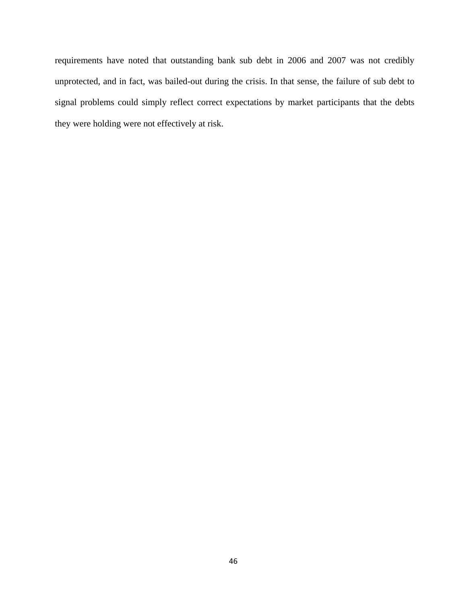requirements have noted that outstanding bank sub debt in 2006 and 2007 was not credibly unprotected, and in fact, was bailed-out during the crisis. In that sense, the failure of sub debt to signal problems could simply reflect correct expectations by market participants that the debts they were holding were not effectively at risk.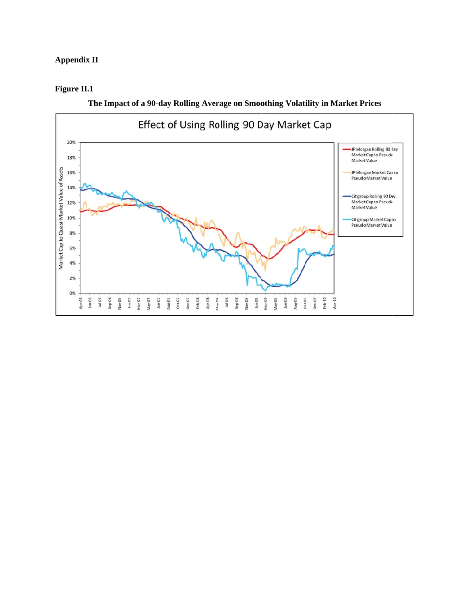# **Appendix x II**

# **Figure II .1**

**The Impact of a 90-day Rolling Average on Smoothing Volatility in Market Prices**

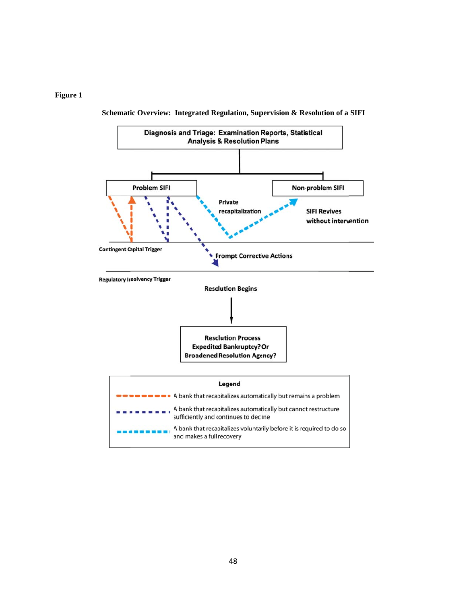# **Figure 1**



**Schematic Overview: Integrated Re egulation, Supervision & Resolution of a SIFI** 

| Legend |                                                                                                         |
|--------|---------------------------------------------------------------------------------------------------------|
|        | A bank that recapitalizes automatically but remains a problem                                           |
|        | A bank that recapitalizes automatically but cannot restructure<br>sufficiently and continues to decline |
|        | A bank that recapitalizes voluntarily before it is required to do so<br>and makes a full recovery       |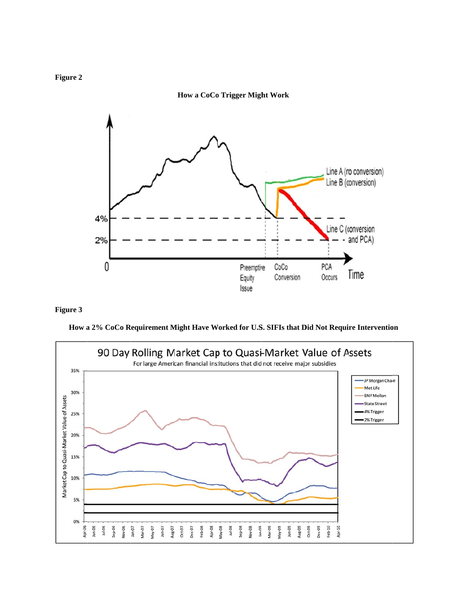





# **Figure 3**

**How a 2% CoCo Requirement M ight Have W Worked for U.S . SIFIs that Did Not Require Intervention**